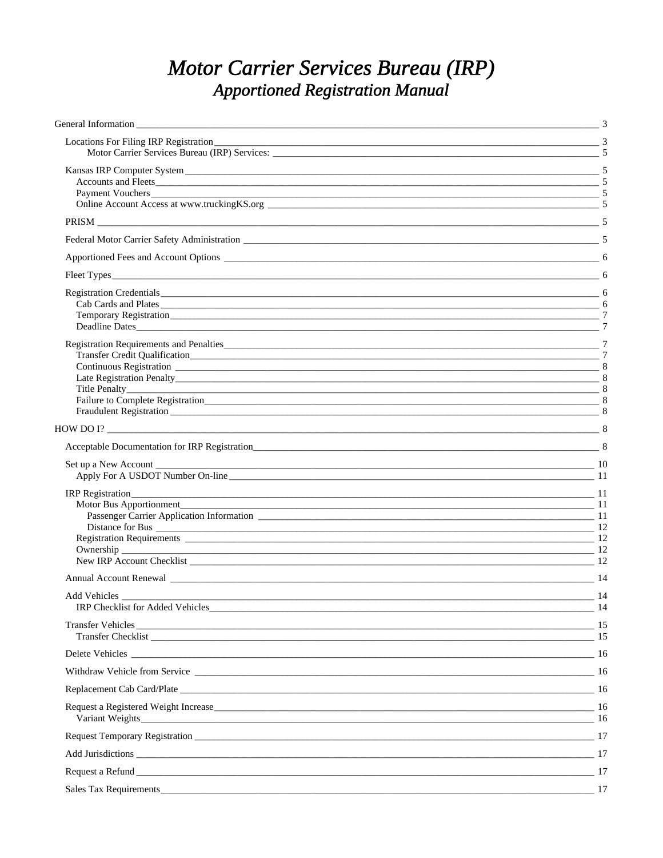# Motor Carrier Services Bureau (IRP) **Apportioned Registration Manual**

| Locations For Filing IRP Registration 2008 2014 19:00 12:00 12:00 12:00 12:00 12:00 12:00 12:00 12:00 12:00 12:00 12:00 12:00 12:00 12:00 12:00 12:00 12:00 12:00 12:00 12:00 12:00 12:00 12:00 12:00 12:00 12:00 12:00 12:00                                                                                                                   |     |
|-------------------------------------------------------------------------------------------------------------------------------------------------------------------------------------------------------------------------------------------------------------------------------------------------------------------------------------------------|-----|
| Kansas IRP Computer System 2008 2012 12:00:00 12:00:00 12:00:00 12:00:00 12:00:00 12:00:00 12:00:00 12:00:00 1                                                                                                                                                                                                                                  |     |
|                                                                                                                                                                                                                                                                                                                                                 |     |
|                                                                                                                                                                                                                                                                                                                                                 |     |
| Apportioned Fees and Account Options 2008 2012 12:00 12:00 12:00 12:00 12:00 12:00 12:00 12:00 12:00 12:00 12:00 12:00 12:00 12:00 12:00 12:00 12:00 12:00 12:00 12:00 12:00 12:00 12:00 12:00 12:00 12:00 12:00 12:00 12:00 1                                                                                                                  |     |
|                                                                                                                                                                                                                                                                                                                                                 |     |
| Registration Credentials 600 million and the contract of the contract of the contract of the contract of the contract of the contract of the contract of the contract of the contract of the contract of the contract of the c<br>Cab Cards and Plates<br>Deadline Dates                                                                        | -6  |
| Title Penalty 2008 2014 12:00:00 12:00:00 12:00:00 12:00:00 12:00:00 12:00:00 12:00:00 12:00:00 12:00:00 12:00<br>Fraudulent Registration 38 and 2012 12:00 the contract of the contract of the contract of the contract of the contract of the contract of the contract of the contract of the contract of the contract of the contract of the |     |
| HOW DO I? $\frac{1}{2}$ 8                                                                                                                                                                                                                                                                                                                       |     |
|                                                                                                                                                                                                                                                                                                                                                 |     |
| Set up a New Account 10                                                                                                                                                                                                                                                                                                                         |     |
| Motor Bus Apportionment<br>$\sim$ 11<br>Distance for Bus 2022 and 2022 and 2022 and 2022 and 2022 and 2022 and 2023 and 2023 and 2023 and 2023 and 2023 and 2023 and 2023 and 2023 and 2023 and 2023 and 2023 and 2023 and 2023 and 2023 and 2023 and 2023 and 2023 an<br><u>2</u> 12<br>Ownership<br>New IRP Account Checklist 22              |     |
| Annual Account Renewal 2008 and 2008 and 2008 and 2008 and 2008 and 2008 and 2008 and 2008 and 2008 and 2008 and 2008 and 2008 and 2008 and 2008 and 2008 and 2008 and 2008 and 2008 and 2008 and 2008 and 2008 and 2008 and 2                                                                                                                  |     |
| Add Vehicles<br>IRP Checklist for Added Vehicles 2014                                                                                                                                                                                                                                                                                           | -14 |
| Transfer Vehicles 15                                                                                                                                                                                                                                                                                                                            |     |
| Delete Vehicles 16                                                                                                                                                                                                                                                                                                                              |     |
|                                                                                                                                                                                                                                                                                                                                                 |     |
| Replacement Cab Card/Plate 16                                                                                                                                                                                                                                                                                                                   |     |
| Request a Registered Weight Increase 16 and 200 million and 200 million and 200 million and 200 million and 200 million and 200 million and 200 million and 200 million and 200 million and 200 million and 200 million and 20                                                                                                                  |     |
|                                                                                                                                                                                                                                                                                                                                                 |     |
| Add Jurisdictions 2022 2023 2023 2024 2022 2023 2024 2022 2023 2024 2022 2023 2024 2023 2024 2022 2023 2024 20                                                                                                                                                                                                                                  |     |
|                                                                                                                                                                                                                                                                                                                                                 |     |
| Sales Tax Requirements 17                                                                                                                                                                                                                                                                                                                       |     |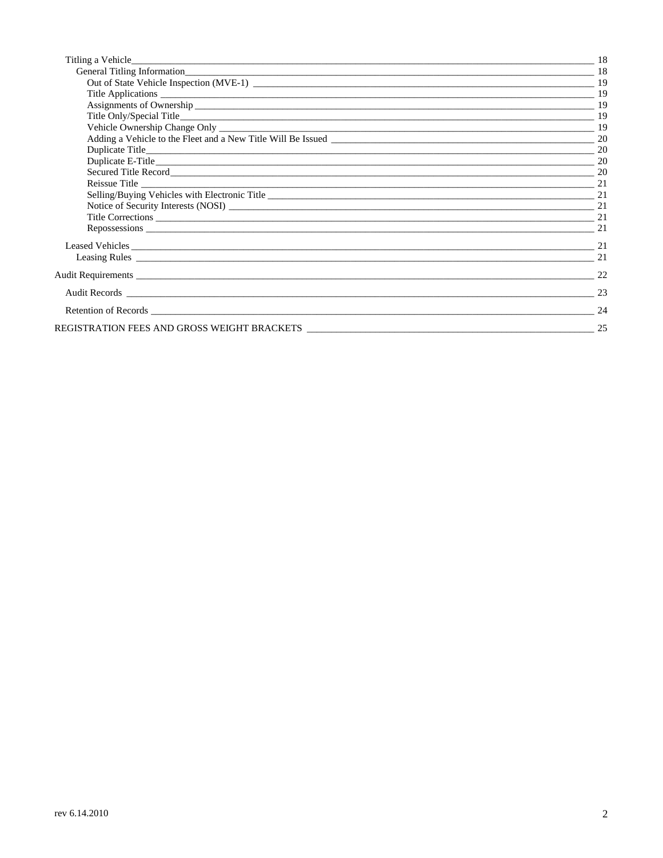| 21 |
|----|
| 22 |
| 23 |
| 24 |
| 25 |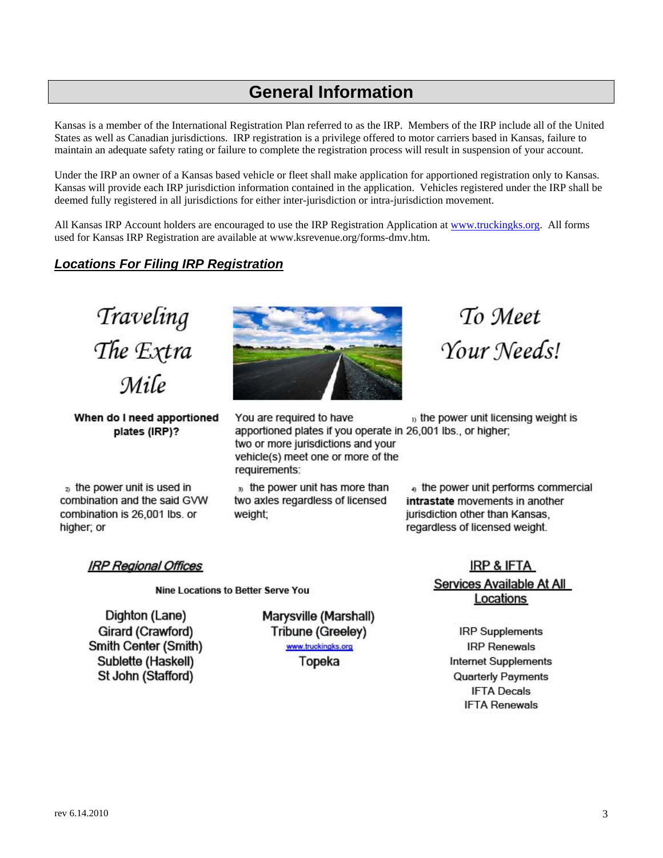# **General Information**

<span id="page-2-0"></span>Kansas is a member of the International Registration Plan referred to as the IRP. Members of the IRP include all of the United States as well as Canadian jurisdictions. IRP registration is a privilege offered to motor carriers based in Kansas, failure to maintain an adequate safety rating or failure to complete the registration process will result in suspension of your account.

 Under the IRP an owner of a Kansas based vehicle or fleet shall make application for apportioned registration only to Kansas. Kansas will provide each IRP jurisdiction information contained in the application. Vehicles registered under the IRP shall be deemed fully registered in all jurisdictions for either inter-jurisdiction or intra-jurisdiction movement.

All Kansas IRP Account holders are encouraged to use the IRP Registration Application at www.truckingks.org. All forms used for Kansas IRP Registration are available at www.ksrevenue.org/forms-dmv.htm.

# *Locations For Filing IRP Registration*

Traveling The Extra Mile

When do I need apportioned plates (IRP)?

<sub>2</sub> the power unit is used in combination and the said GVW combination is 26,001 lbs. or higher; or



You are required to have  $<sub>D</sub>$  the power unit licensing weight is</sub> apportioned plates if you operate in 26,001 lbs., or higher; two or more jurisdictions and your vehicle(s) meet one or more of the requirements:

<sub>3)</sub> the power unit has more than two axles regardless of licensed weight:

To Meet Your Needs!

the power unit performs commercial intrastate movements in another jurisdiction other than Kansas. regardless of licensed weight.

# **IRP Regional Offices**

Nine Locations to Better Serve You

Dighton (Lane) Girard (Crawford) Smith Center (Smith) Sublette (Haskell) St John (Stafford)

Marysville (Marshall) Tribune (Greeley) www.truckingks.org Topeka

**IRP & IFTA** Services Available At All Locations

> **IRP Supplements IRP Renewals Internet Supplements Quarterly Payments IFTA Decals IFTA Renewals**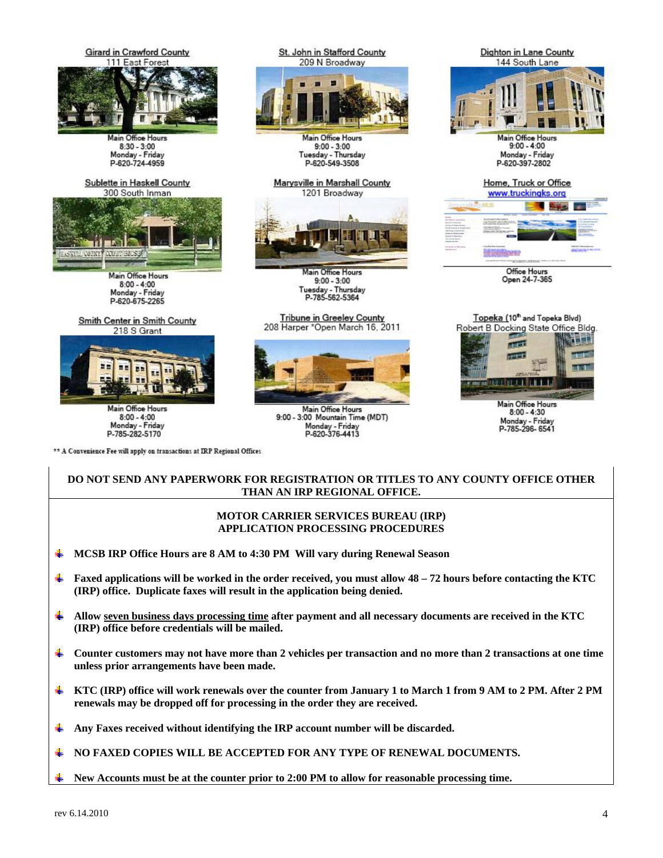

# **DO NOT SEND ANY PAPERWORK FOR REGISTRATION OR TITLES TO ANY COUNTY OFFICE OTHER THAN AN IRP REGIONAL OFFICE.**

#### **MOTOR CARRIER SERVICES BUREAU (IRP) APPLICATION PROCESSING PROCEDURES**

- ÷ **MCSB IRP Office Hours are 8 AM to 4:30 PM Will vary during Renewal Season**
- ٠ **Faxed applications will be worked in the order received, you must allow 48 – 72 hours before contacting the KTC (IRP) office. Duplicate faxes will result in the application being denied.**
- ٠ **Allow seven business days processing time after payment and all necessary documents are received in the KTC (IRP) office before credentials will be mailed.**
- ÷ **Counter customers may not have more than 2 vehicles per transaction and no more than 2 transactions at one time unless prior arrangements have been made.**
- ÷  **KTC (IRP) office will work renewals over the counter from January 1 to March 1 from 9 AM to 2 PM. After 2 PM renewals may be dropped off for processing in the order they are received.**
- ÷ **Any Faxes received without identifying the IRP account number will be discarded.**

**NO FAXED COPIES WILL BE ACCEPTED FOR ANY TYPE OF RENEWAL DOCUMENTS.**  ٠

**New Accounts must be at the counter prior to 2:00 PM to allow for reasonable processing time.**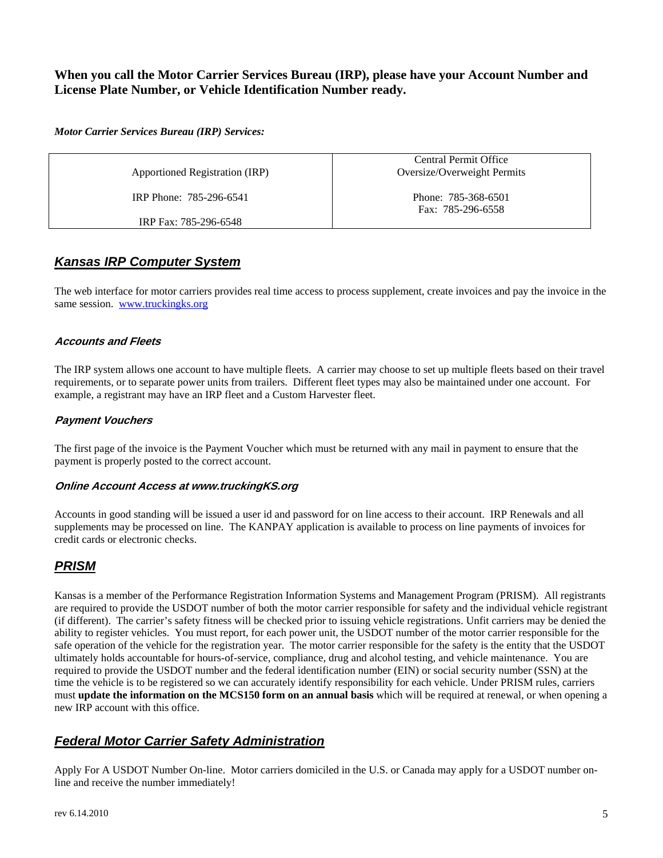# **When you call the Motor Carrier Services Bureau (IRP), please have your Account Number and License Plate Number, or Vehicle Identification Number ready.**

# *Motor Carrier Services Bureau (IRP) Services:*

Apportioned Registration (IRP) <br>
Oversize/Overweight Permits

IRP Phone: 785-296-6541

IRP Fax: 785-296-6548

Central Permit Office

Phone: 785-368-6501 Fax: 785-296-6558

# *Kansas IRP Computer System*

The web interface for motor carriers provides real time access to process supplement, create invoices and pay the invoice in the same session. www.truckingks.org

# **Accounts and Fleets**

The IRP system allows one account to have multiple fleets. A carrier may choose to set up multiple fleets based on their travel requirements, or to separate power units from trailers. Different fleet types may also be maintained under one account. For example, a registrant may have an IRP fleet and a Custom Harvester fleet.

# **Payment Vouchers**

The first page of the invoice is the Payment Voucher which must be returned with any mail in payment to ensure that the payment is properly posted to the correct account.

# **Online Account Access at www.truckingKS.org**

Accounts in good standing will be issued a user id and password for on line access to their account. IRP Renewals and all supplements may be processed on line. The KANPAY application is available to process on line payments of invoices for credit cards or electronic checks.

# *PRISM*

Kansas is a member of the Performance Registration Information Systems and Management Program (PRISM). All registrants are required to provide the USDOT number of both the motor carrier responsible for safety and the individual vehicle registrant (if different). The carrier's safety fitness will be checked prior to issuing vehicle registrations. Unfit carriers may be denied the ability to register vehicles. You must report, for each power unit, the USDOT number of the motor carrier responsible for the safe operation of the vehicle for the registration year. The motor carrier responsible for the safety is the entity that the USDOT ultimately holds accountable for hours-of-service, compliance, drug and alcohol testing, and vehicle maintenance. You are required to provide the USDOT number and the federal identification number (EIN) or social security number (SSN) at the time the vehicle is to be registered so we can accurately identify responsibility for each vehicle. Under PRISM rules, carriers must **update the information on the MCS150 form on an annual basis** which will be required at renewal, or when opening a new IRP account with this office.

# *Federal Motor Carrier Safety Administration*

Apply For A USDOT Number On-line. Motor carriers domiciled in the U.S. or Canada may apply for a USDOT number online and receive the number immediately!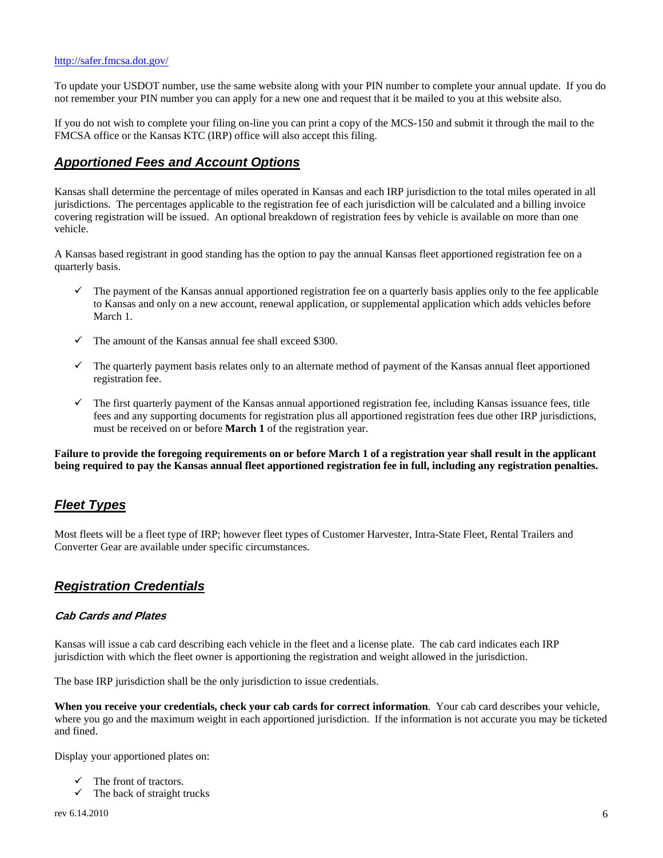To update your USDOT number, use the same website along with your PIN number to complete your annual update. If you do not remember your PIN number you can apply for a new one and request that it be mailed to you at this website also.

 If you do not wish to complete your filing on-line you can print a copy of the MCS-150 and submit it through the mail to the FMCSA office or the Kansas KTC (IRP) office will also accept this filing.

# *Apportioned Fees and Account Options*

Kansas shall determine the percentage of miles operated in Kansas and each IRP jurisdiction to the total miles operated in all jurisdictions. The percentages applicable to the registration fee of each jurisdiction will be calculated and a billing invoice covering registration will be issued. An optional breakdown of registration fees by vehicle is available on more than one vehicle.

 quarterly basis. A Kansas based registrant in good standing has the option to pay the annual Kansas fleet apportioned registration fee on a

- $\checkmark$  The payment of the Kansas annual apportioned registration fee on a quarterly basis applies only to the fee applicable to Kansas and only on a new account, renewal application, or supplemental application which adds vehicles before March 1.
- The amount of the Kansas annual fee shall exceed \$300.
- registration fee.  $\checkmark$  The quarterly payment basis relates only to an alternate method of payment of the Kansas annual fleet apportioned
- $\checkmark$  The first quarterly payment of the Kansas annual apportioned registration fee, including Kansas issuance fees, title fees and any supporting documents for registration plus all apportioned registration fees due other IRP jurisdictions, must be received on or before **March 1** of the registration year.

**Failure to provide the foregoing requirements on or before March 1 of a registration year shall result in the applicant being required to pay the Kansas annual fleet apportioned registration fee in full, including any registration penalties.** 

# *Fleet Types*

Most fleets will be a fleet type of IRP; however fleet types of Customer Harvester, Intra-State Fleet, Rental Trailers and Converter Gear are available under specific circumstances.

# *Registration Credentials*

# **Cab Cards and Plates**

 jurisdiction with which the fleet owner is apportioning the registration and weight allowed in the jurisdiction. Kansas will issue a cab card describing each vehicle in the fleet and a license plate. The cab card indicates each IRP

The base IRP jurisdiction shall be the only jurisdiction to issue credentials.

**When you receive your credentials, check your cab cards for correct information**. Your cab card describes your vehicle, where you go and the maximum weight in each apportioned jurisdiction. If the information is not accurate you may be ticketed and fined.

Display your apportioned plates on:

- The front of tractors.
- $\checkmark$  The back of straight trucks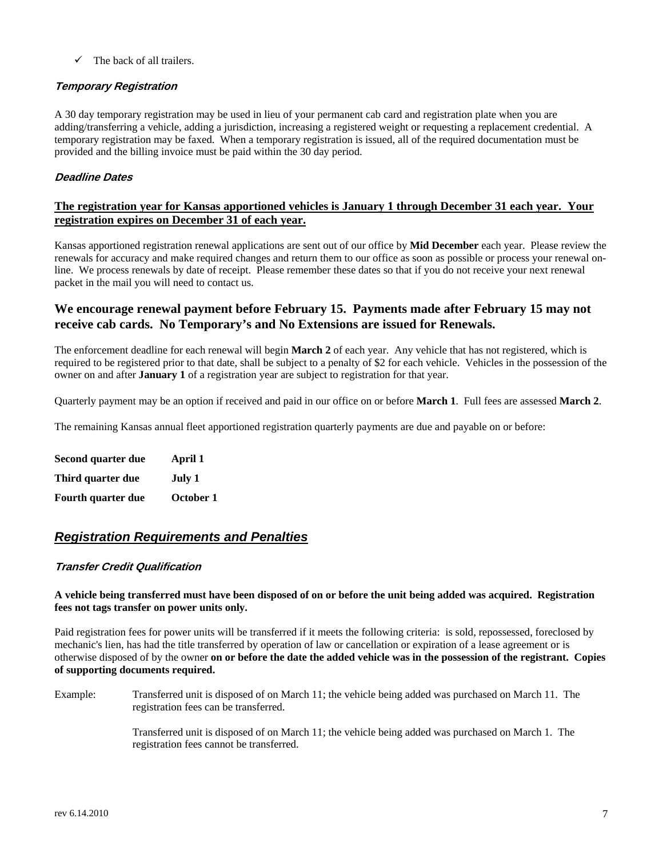$\checkmark$  The back of all trailers.

# **Temporary Registration**

 A 30 day temporary registration may be used in lieu of your permanent cab card and registration plate when you are temporary registration may be faxed. When a temporary registration is issued, all of the required documentation must be adding/transferring a vehicle, adding a jurisdiction, increasing a registered weight or requesting a replacement credential. A provided and the billing invoice must be paid within the 30 day period.

# **Deadline Dates**

# **The registration year for Kansas apportioned vehicles is January 1 through December 31 each year. Your registration expires on December 31 of each year.**

Kansas apportioned registration renewal applications are sent out of our office by **Mid December** each year. Please review the renewals for accuracy and make required changes and return them to our office as soon as possible or process your renewal online. We process renewals by date of receipt. Please remember these dates so that if you do not receive your next renewal packet in the mail you will need to contact us.

# **We encourage renewal payment before February 15. Payments made after February 15 may not receive cab cards. No Temporary's and No Extensions are issued for Renewals.**

owner on and after January 1 of a registration year are subject to registration for that year. The enforcement deadline for each renewal will begin **March 2** of each year. Any vehicle that has not registered, which is required to be registered prior to that date, shall be subject to a penalty of \$2 for each vehicle. Vehicles in the possession of the

owner on and after **January 1** of a registration year are subject to registration for that year.<br>Quarterly payment may be an option if received and paid in our office on or before **March 1**. Full fees are assessed **March 2** 

The remaining Kansas annual fleet apportioned registration quarterly payments are due and payable on or before:

| Second quarter due        | April 1   |
|---------------------------|-----------|
| Third quarter due         | July 1    |
| <b>Fourth quarter due</b> | October 1 |

# *Registration Requirements and Penalties*

# **Transfer Credit Qualification**

# **A vehicle being transferred must have been disposed of on or before the unit being added was acquired. Registration fees not tags transfer on power units only.**

 Paid registration fees for power units will be transferred if it meets the following criteria: is sold, repossessed, foreclosed by  otherwise disposed of by the owner **on or before the date the added vehicle was in the possession of the registrant. Copies**  mechanic's lien, has had the title transferred by operation of law or cancellation or expiration of a lease agreement or is **of supporting documents required.** 

Example: Transferred unit is disposed of on March 11; the vehicle being added was purchased on March 11. The registration fees can be transferred.

 Transferred unit is disposed of on March 11; the vehicle being added was purchased on March 1. The registration fees cannot be transferred. registration fees cannot be transferred.<br>rev 6.14.2010 7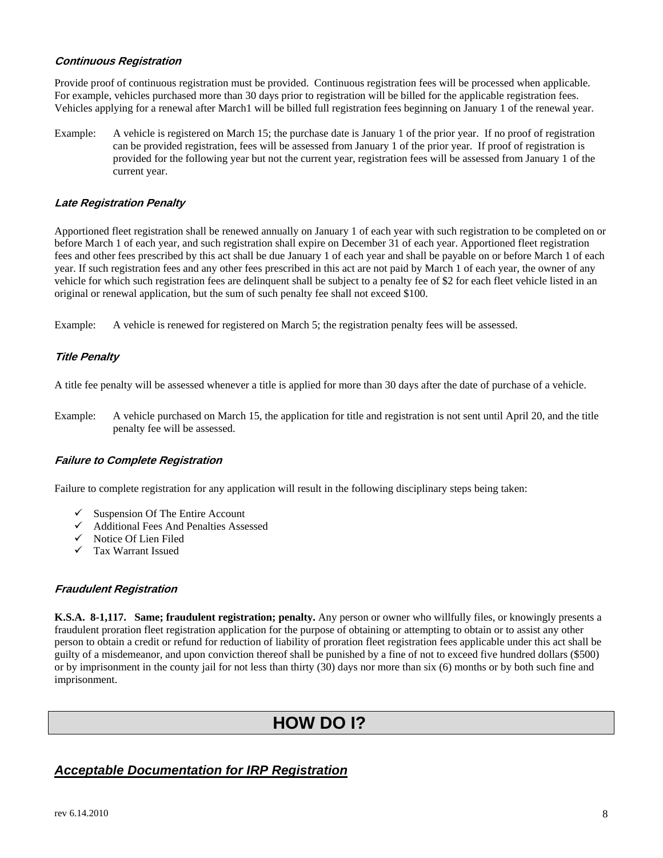# **Continuous Registration**

 For example, vehicles purchased more than 30 days prior to registration will be billed for the applicable registration fees. Vehicles applying for a renewal after March1 will be billed full registration fees beginning on January 1 of the renewal year. Provide proof of continuous registration must be provided. Continuous registration fees will be processed when applicable.

 Example: A vehicle is registered on March 15; the purchase date is January 1 of the prior year. If no proof of registration can be provided registration, fees will be assessed from January 1 of the prior year. If proof of registration is provided for the following year but not the current year, registration fees will be assessed from January 1 of the current year.

# **Late Registration Penalty**

 Apportioned fleet registration shall be renewed annually on January 1 of each year with such registration to be completed on or before March 1 of each year, and such registration shall expire on December 31 of each year. Apportioned fleet registration fees and other fees prescribed by this act shall be due January 1 of each year and shall be payable on or before March 1 of each year. If such registration fees and any other fees prescribed in this act are not paid by March 1 of each year, the owner of any vehicle for which such registration fees are delinquent shall be subject to a penalty fee of \$2 for each fleet vehicle listed in an original or renewal application, but the sum of such penalty fee shall not exceed \$100.

Example: A vehicle is renewed for registered on March 5; the registration penalty fees will be assessed.

# **Title Penalty**

A title fee penalty will be assessed whenever a title is applied for more than 30 days after the date of purchase of a vehicle.<br>Example: A vehicle purchased on March 15, the application for title and registration is not se penalty fee will be assessed.

# **Failure to Complete Registration**

Failure to complete registration for any application will result in the following disciplinary steps being taken:

- $\checkmark$  Suspension Of The Entire Account
- 9 Additional Fees And Penalties Assessed
- Notice Of Lien Filed
- $\checkmark$  Tax Warrant Issued

# **Fraudulent Registration**

 **K.S.A. 8-1,117. Same; fraudulent registration; penalty.** Any person or owner who willfully files, or knowingly presents a guilty of a misdemeanor, and upon conviction thereof shall be punished by a fine of not to exceed five hundred dollars (\$500) fraudulent proration fleet registration application for the purpose of obtaining or attempting to obtain or to assist any other person to obtain a credit or refund for reduction of liability of proration fleet registration fees applicable under this act shall be or by imprisonment in the county jail for not less than thirty (30) days nor more than six (6) months or by both such fine and imprisonment.

# **HOW DO I?**

# *Acceptable Documentation for IRP Registration*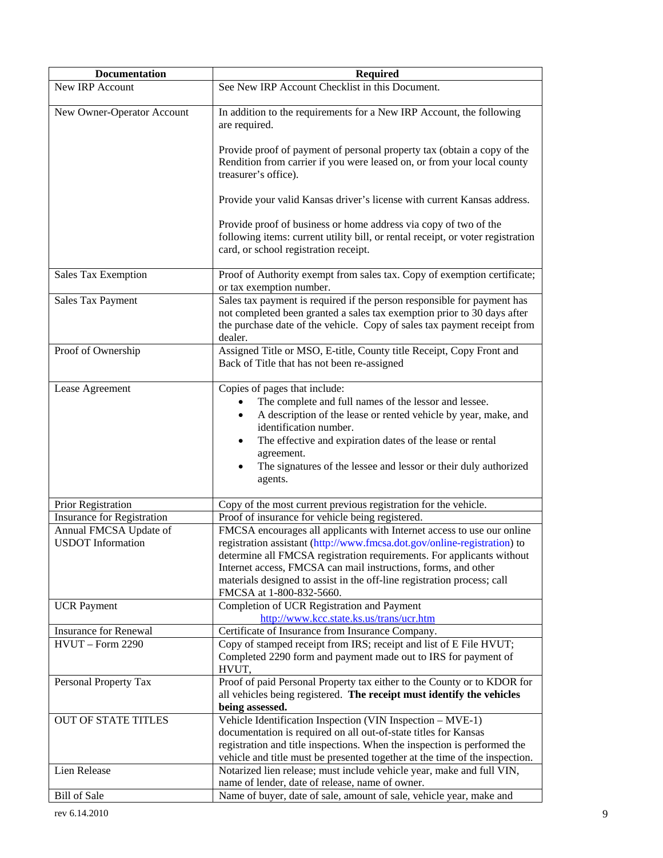| <b>Documentation</b>                               | <b>Required</b>                                                                                                                                                                                                                                                                                                                                                                                      |
|----------------------------------------------------|------------------------------------------------------------------------------------------------------------------------------------------------------------------------------------------------------------------------------------------------------------------------------------------------------------------------------------------------------------------------------------------------------|
| <b>New IRP Account</b>                             | See New IRP Account Checklist in this Document.                                                                                                                                                                                                                                                                                                                                                      |
| New Owner-Operator Account                         | In addition to the requirements for a New IRP Account, the following<br>are required.                                                                                                                                                                                                                                                                                                                |
|                                                    | Provide proof of payment of personal property tax (obtain a copy of the<br>Rendition from carrier if you were leased on, or from your local county<br>treasurer's office).                                                                                                                                                                                                                           |
|                                                    | Provide your valid Kansas driver's license with current Kansas address.                                                                                                                                                                                                                                                                                                                              |
|                                                    | Provide proof of business or home address via copy of two of the<br>following items: current utility bill, or rental receipt, or voter registration<br>card, or school registration receipt.                                                                                                                                                                                                         |
| Sales Tax Exemption                                | Proof of Authority exempt from sales tax. Copy of exemption certificate;<br>or tax exemption number.                                                                                                                                                                                                                                                                                                 |
| Sales Tax Payment                                  | Sales tax payment is required if the person responsible for payment has<br>not completed been granted a sales tax exemption prior to 30 days after<br>the purchase date of the vehicle. Copy of sales tax payment receipt from<br>dealer.                                                                                                                                                            |
| Proof of Ownership                                 | Assigned Title or MSO, E-title, County title Receipt, Copy Front and<br>Back of Title that has not been re-assigned                                                                                                                                                                                                                                                                                  |
| Lease Agreement                                    | Copies of pages that include:<br>The complete and full names of the lessor and lessee.<br>$\bullet$<br>A description of the lease or rented vehicle by year, make, and<br>٠<br>identification number.<br>The effective and expiration dates of the lease or rental<br>٠<br>agreement.<br>The signatures of the lessee and lessor or their duly authorized<br>٠<br>agents.                            |
| Prior Registration                                 | Copy of the most current previous registration for the vehicle.                                                                                                                                                                                                                                                                                                                                      |
| <b>Insurance for Registration</b>                  | Proof of insurance for vehicle being registered.                                                                                                                                                                                                                                                                                                                                                     |
| Annual FMCSA Update of<br><b>USDOT</b> Information | FMCSA encourages all applicants with Internet access to use our online<br>registration assistant (http://www.fmcsa.dot.gov/online-registration) to<br>determine all FMCSA registration requirements. For applicants without<br>Internet access, FMCSA can mail instructions, forms, and other<br>materials designed to assist in the off-line registration process; call<br>FMCSA at 1-800-832-5660. |
| <b>UCR</b> Payment                                 | Completion of UCR Registration and Payment<br>http://www.kcc.state.ks.us/trans/ucr.htm                                                                                                                                                                                                                                                                                                               |
| <b>Insurance for Renewal</b>                       | Certificate of Insurance from Insurance Company.                                                                                                                                                                                                                                                                                                                                                     |
| HVUT - Form 2290                                   | Copy of stamped receipt from IRS; receipt and list of E File HVUT;<br>Completed 2290 form and payment made out to IRS for payment of<br>HVUT,                                                                                                                                                                                                                                                        |
| Personal Property Tax                              | Proof of paid Personal Property tax either to the County or to KDOR for<br>all vehicles being registered. The receipt must identify the vehicles<br>being assessed.                                                                                                                                                                                                                                  |
| <b>OUT OF STATE TITLES</b>                         | Vehicle Identification Inspection (VIN Inspection - MVE-1)<br>documentation is required on all out-of-state titles for Kansas<br>registration and title inspections. When the inspection is performed the<br>vehicle and title must be presented together at the time of the inspection.                                                                                                             |
| Lien Release                                       | Notarized lien release; must include vehicle year, make and full VIN,<br>name of lender, date of release, name of owner.                                                                                                                                                                                                                                                                             |
| <b>Bill of Sale</b>                                | Name of buyer, date of sale, amount of sale, vehicle year, make and                                                                                                                                                                                                                                                                                                                                  |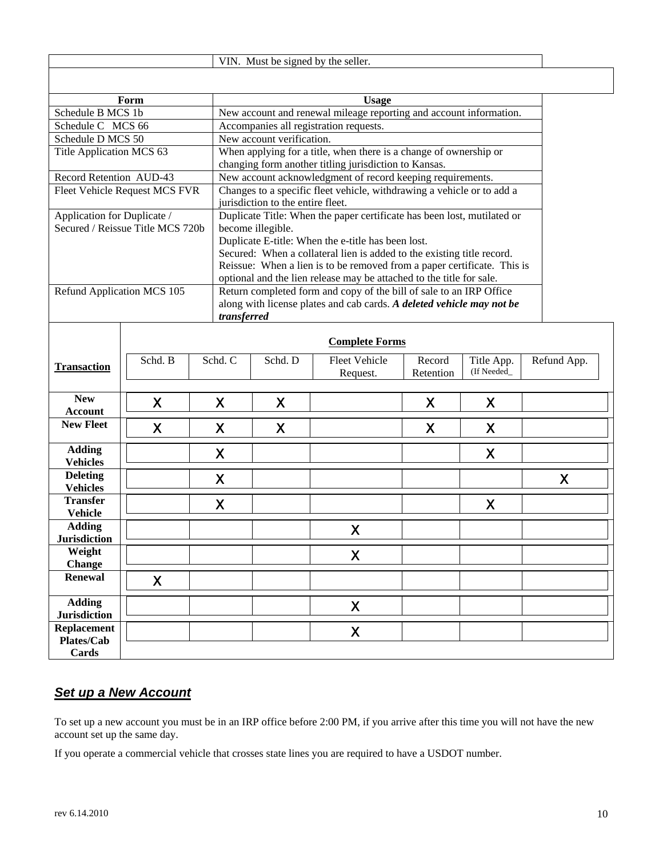|                                      | VIN. Must be signed by the seller. |  |                                                                                                                                                                                                                                                                                                                                                                                 |                                             |                                                                        |                     |                           |             |  |  |
|--------------------------------------|------------------------------------|--|---------------------------------------------------------------------------------------------------------------------------------------------------------------------------------------------------------------------------------------------------------------------------------------------------------------------------------------------------------------------------------|---------------------------------------------|------------------------------------------------------------------------|---------------------|---------------------------|-------------|--|--|
|                                      |                                    |  |                                                                                                                                                                                                                                                                                                                                                                                 |                                             |                                                                        |                     |                           |             |  |  |
| Form<br><b>Usage</b>                 |                                    |  |                                                                                                                                                                                                                                                                                                                                                                                 |                                             |                                                                        |                     |                           |             |  |  |
| Schedule B MCS 1b                    |                                    |  |                                                                                                                                                                                                                                                                                                                                                                                 |                                             | New account and renewal mileage reporting and account information.     |                     |                           |             |  |  |
| Schedule C MCS 66                    |                                    |  | Accompanies all registration requests.                                                                                                                                                                                                                                                                                                                                          |                                             |                                                                        |                     |                           |             |  |  |
| Schedule D MCS 50                    |                                    |  | New account verification.                                                                                                                                                                                                                                                                                                                                                       |                                             |                                                                        |                     |                           |             |  |  |
| Title Application MCS 63             |                                    |  | When applying for a title, when there is a change of ownership or<br>changing form another titling jurisdiction to Kansas.                                                                                                                                                                                                                                                      |                                             |                                                                        |                     |                           |             |  |  |
| Record Retention AUD-43              |                                    |  | New account acknowledgment of record keeping requirements.                                                                                                                                                                                                                                                                                                                      |                                             |                                                                        |                     |                           |             |  |  |
| Fleet Vehicle Request MCS FVR        |                                    |  |                                                                                                                                                                                                                                                                                                                                                                                 | jurisdiction to the entire fleet.           | Changes to a specific fleet vehicle, withdrawing a vehicle or to add a |                     |                           |             |  |  |
| Application for Duplicate /          | Secured / Reissue Title MCS 720b   |  | Duplicate Title: When the paper certificate has been lost, mutilated or<br>become illegible.<br>Duplicate E-title: When the e-title has been lost.<br>Secured: When a collateral lien is added to the existing title record.<br>Reissue: When a lien is to be removed from a paper certificate. This is<br>optional and the lien release may be attached to the title for sale. |                                             |                                                                        |                     |                           |             |  |  |
| Refund Application MCS 105           |                                    |  | Return completed form and copy of the bill of sale to an IRP Office<br>along with license plates and cab cards. A deleted vehicle may not be<br>transferred                                                                                                                                                                                                                     |                                             |                                                                        |                     |                           |             |  |  |
|                                      |                                    |  |                                                                                                                                                                                                                                                                                                                                                                                 |                                             | <b>Complete Forms</b>                                                  |                     |                           |             |  |  |
| <b>Transaction</b>                   | Schd. B                            |  | Schd. C                                                                                                                                                                                                                                                                                                                                                                         | Schd. D<br><b>Fleet Vehicle</b><br>Request. |                                                                        | Record<br>Retention | Title App.<br>(If Needed_ | Refund App. |  |  |
| <b>New</b><br><b>Account</b>         | X                                  |  | X                                                                                                                                                                                                                                                                                                                                                                               | X                                           |                                                                        | X                   | X                         |             |  |  |
| <b>New Fleet</b>                     | X                                  |  | X                                                                                                                                                                                                                                                                                                                                                                               | X                                           |                                                                        | X                   | X                         |             |  |  |
| <b>Adding</b><br><b>Vehicles</b>     |                                    |  | X                                                                                                                                                                                                                                                                                                                                                                               |                                             |                                                                        |                     | X                         |             |  |  |
| <b>Deleting</b><br><b>Vehicles</b>   |                                    |  | X                                                                                                                                                                                                                                                                                                                                                                               |                                             |                                                                        |                     |                           | X           |  |  |
| <b>Transfer</b><br><b>Vehicle</b>    |                                    |  | X                                                                                                                                                                                                                                                                                                                                                                               |                                             |                                                                        |                     | X                         |             |  |  |
| <b>Adding</b><br><b>Jurisdiction</b> |                                    |  |                                                                                                                                                                                                                                                                                                                                                                                 |                                             | X                                                                      |                     |                           |             |  |  |
| Weight<br><b>Change</b>              | X                                  |  |                                                                                                                                                                                                                                                                                                                                                                                 |                                             |                                                                        |                     |                           |             |  |  |
| <b>Renewal</b>                       | X                                  |  |                                                                                                                                                                                                                                                                                                                                                                                 |                                             |                                                                        |                     |                           |             |  |  |
| <b>Adding</b><br><b>Jurisdiction</b> |                                    |  |                                                                                                                                                                                                                                                                                                                                                                                 |                                             | X                                                                      |                     |                           |             |  |  |
| <b>Replacement</b><br>Plates/Cab     |                                    |  |                                                                                                                                                                                                                                                                                                                                                                                 |                                             | X                                                                      |                     |                           |             |  |  |
| Cards                                |                                    |  |                                                                                                                                                                                                                                                                                                                                                                                 |                                             |                                                                        |                     |                           |             |  |  |

# *Set up a New Account*

 To set up a new account you must be in an IRP office before 2:00 PM, if you arrive after this time you will not have the new account set up the same day.

If you operate a commercial vehicle that crosses state lines you are required to have a USDOT number.<br>rev 6.14.2010 10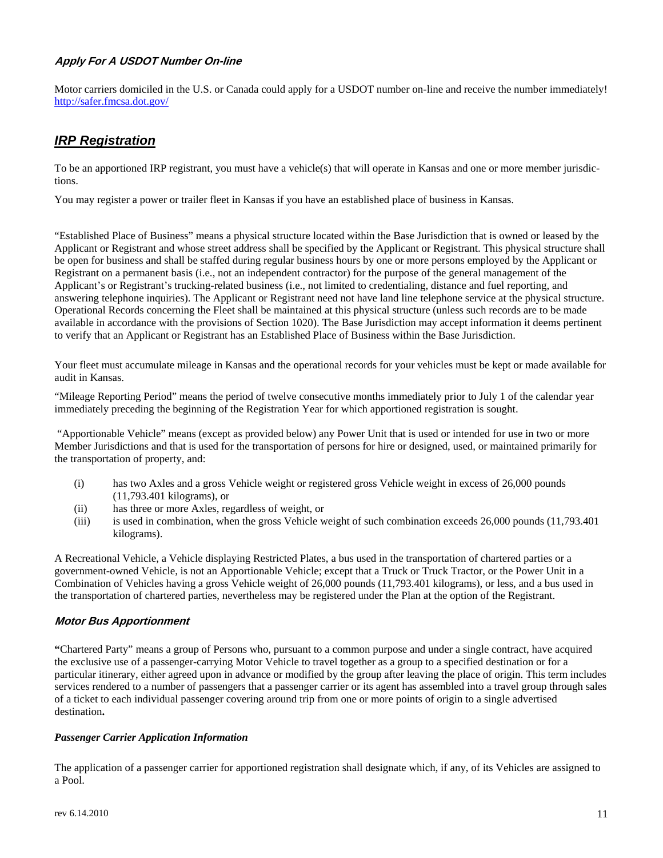# **Apply For A USDOT Number On-line**

 http://safer.fmcsa.dot.gov/ Motor carriers domiciled in the U.S. or Canada could apply for a USDOT number on-line and receive the number immediately!

# *IRP Registration*

 To be an apportioned IRP registrant, you must have a vehicle(s) that will operate in Kansas and one or more member jurisdictions.

You may register a power or trailer fleet in Kansas if you have an established place of business in Kansas.

 be open for business and shall be staffed during regular business hours by one or more persons employed by the Applicant or Operational Records concerning the Fleet shall be maintained at this physical structure (unless such records are to be made "Established Place of Business" means a physical structure located within the Base Jurisdiction that is owned or leased by the Applicant or Registrant and whose street address shall be specified by the Applicant or Registrant. This physical structure shall Registrant on a permanent basis (i.e., not an independent contractor) for the purpose of the general management of the Applicant's or Registrant's trucking-related business (i.e., not limited to credentialing, distance and fuel reporting, and answering telephone inquiries). The Applicant or Registrant need not have land line telephone service at the physical structure. available in accordance with the provisions of Section 1020). The Base Jurisdiction may accept information it deems pertinent to verify that an Applicant or Registrant has an Established Place of Business within the Base Jurisdiction.

Your fleet must accumulate mileage in Kansas and the operational records for your vehicles must be kept or made available for audit in Kansas.

"Mileage Reporting Period" means the period of twelve consecutive months immediately prior to July 1 of the calendar year immediately preceding the beginning of the Registration Year for which apportioned registration is sought.

 "Apportionable Vehicle" means (except as provided below) any Power Unit that is used or intended for use in two or more Member Jurisdictions and that is used for the transportation of persons for hire or designed, used, or maintained primarily for the transportation of property, and:

- (i) has two Axles and a gross Vehicle weight or registered gross Vehicle weight in excess of 26,000 pounds (11,793.401 kilograms), or
- (ii) has three or more Axles, regardless of weight, or
- (iii) is used in combination, when the gross Vehicle weight of such combination exceeds 26,000 pounds (11,793.401 kilograms).

 Combination of Vehicles having a gross Vehicle weight of 26,000 pounds (11,793.401 kilograms), or less, and a bus used in A Recreational Vehicle, a Vehicle displaying Restricted Plates, a bus used in the transportation of chartered parties or a government-owned Vehicle, is not an Apportionable Vehicle; except that a Truck or Truck Tractor, or the Power Unit in a the transportation of chartered parties, nevertheless may be registered under the Plan at the option of the Registrant.

# **Motor Bus Apportionment**

 services rendered to a number of passengers that a passenger carrier or its agent has assembled into a travel group through sales of a ticket to each individual passenger covering around trip from one or more points of origin to a single advertised **"**Chartered Party" means a group of Persons who, pursuant to a common purpose and under a single contract, have acquired the exclusive use of a passenger-carrying Motor Vehicle to travel together as a group to a specified destination or for a particular itinerary, either agreed upon in advance or modified by the group after leaving the place of origin. This term includes destination**.** 

#### *Passenger Carrier Application Information*

 The application of a passenger carrier for apportioned registration shall designate which, if any, of its Vehicles are assigned to a Pool.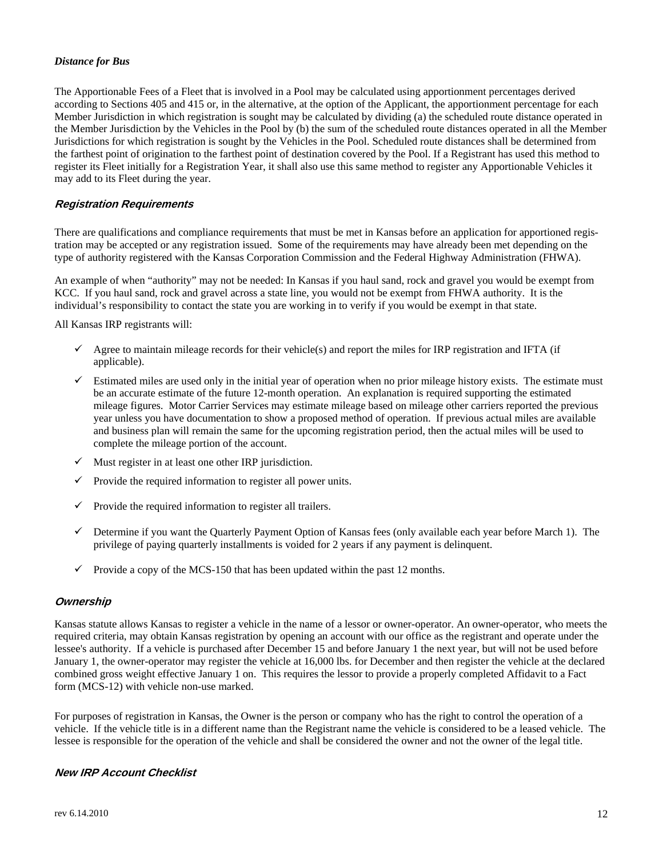#### *Distance for Bus*

 the farthest point of origination to the farthest point of destination covered by the Pool. If a Registrant has used this method to The Apportionable Fees of a Fleet that is involved in a Pool may be calculated using apportionment percentages derived according to Sections 405 and 415 or, in the alternative, at the option of the Applicant, the apportionment percentage for each Member Jurisdiction in which registration is sought may be calculated by dividing (a) the scheduled route distance operated in the Member Jurisdiction by the Vehicles in the Pool by (b) the sum of the scheduled route distances operated in all the Member Jurisdictions for which registration is sought by the Vehicles in the Pool. Scheduled route distances shall be determined from register its Fleet initially for a Registration Year, it shall also use this same method to register any Apportionable Vehicles it may add to its Fleet during the year.

# **Registration Requirements**

There are qualifications and compliance requirements that must be met in Kansas before an application for apportioned registration may be accepted or any registration issued. Some of the requirements may have already been met depending on the type of authority registered with the Kansas Corporation Commission and the Federal Highway Administration (FHWA).

 An example of when "authority" may not be needed: In Kansas if you haul sand, rock and gravel you would be exempt from individual's responsibility to contact the state you are working in to verify if you would be exempt in that state. KCC. If you haul sand, rock and gravel across a state line, you would not be exempt from FHWA authority. It is the

All Kansas IRP registrants will:

- $\checkmark$  Agree to maintain mileage records for their vehicle(s) and report the miles for IRP registration and IFTA (if applicable).
- $\checkmark$  Estimated miles are used only in the initial year of operation when no prior mileage history exists. The estimate must be an accurate estimate of the future 12-month operation. An explanation is required supporting the estimated year unless you have documentation to show a proposed method of operation. If previous actual miles are available mileage figures. Motor Carrier Services may estimate mileage based on mileage other carriers reported the previous and business plan will remain the same for the upcoming registration period, then the actual miles will be used to complete the mileage portion of the account.
- $\checkmark$  Must register in at least one other IRP jurisdiction.
- $\checkmark$  Provide the required information to register all power units.
- $\checkmark$  Provide the required information to register all trailers.
- $\checkmark$  Determine if you want the Quarterly Payment Option of Kansas fees (only available each year before March 1). The privilege of paying quarterly installments is voided for 2 years if any payment is delinquent.
- $\checkmark$  Provide a copy of the MCS-150 that has been updated within the past 12 months.

# **Ownership**

Kansas statute allows Kansas to register a vehicle in the name of a lessor or owner-operator. An owner-operator, who meets the required criteria, may obtain Kansas registration by opening an account with our office as the registrant and operate under the lessee's authority. If a vehicle is purchased after December 15 and before January 1 the next year, but will not be used before January 1, the owner-operator may register the vehicle at 16,000 lbs. for December and then register the vehicle at the declared combined gross weight effective January 1 on. This requires the lessor to provide a properly completed Affidavit to a Fact form (MCS-12) with vehicle non-use marked.

For purposes of registration in Kansas, the Owner is the person or company who has the right to control the operation of a vehicle. If the vehicle title is in a different name than the Registrant name the vehicle is considered to be a leased vehicle. The lessee is responsible for the operation of the vehicle and shall be considered the owner and not the owner of the legal title.

# **New IRP Account Checklist**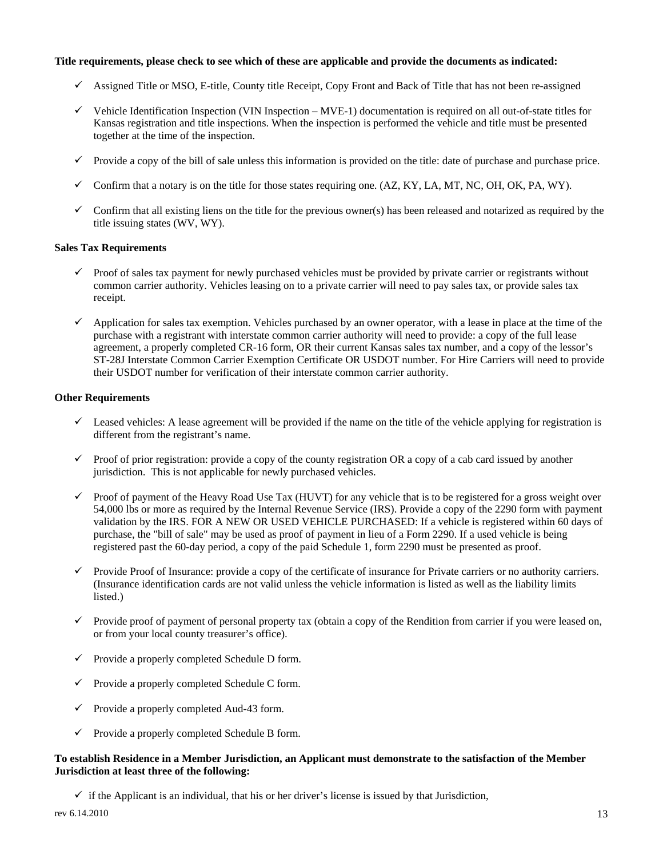#### **Title requirements, please check to see which of these are applicable and provide the documents as indicated:**

- $\checkmark$  Assigned Title or MSO, E-title, County title Receipt, Copy Front and Back of Title that has not been re-assigned
- $\checkmark$  Vehicle Identification Inspection (VIN Inspection MVE-1) documentation is required on all out-of-state titles for Kansas registration and title inspections. When the inspection is performed the vehicle and title must be presented together at the time of the inspection.
- $\checkmark$  Provide a copy of the bill of sale unless this information is provided on the title: date of purchase and purchase price.
- $\checkmark$  Confirm that a notary is on the title for those states requiring one. (AZ, KY, LA, MT, NC, OH, OK, PA, WY).
- $\checkmark$  Confirm that all existing liens on the title for the previous owner(s) has been released and notarized as required by the title issuing states (WV, WY).

#### **Sales Tax Requirements**

- common carrier authority. Vehicles leasing on to a private carrier will need to pay sales tax, or provide sales tax  $\checkmark$  Proof of sales tax payment for newly purchased vehicles must be provided by private carrier or registrants without receipt.
- agreement, a properly completed CR-16 form, OR their current Kansas sales tax number, and a copy of the lessor's  $\checkmark$  Application for sales tax exemption. Vehicles purchased by an owner operator, with a lease in place at the time of the purchase with a registrant with interstate common carrier authority will need to provide: a copy of the full lease ST-28J Interstate Common Carrier Exemption Certificate OR USDOT number. For Hire Carriers will need to provide their USDOT number for verification of their interstate common carrier authority.

#### **Other Requirements**

- $\checkmark$  Leased vehicles: A lease agreement will be provided if the name on the title of the vehicle applying for registration is different from the registrant's name.
- $\checkmark$  Proof of prior registration: provide a copy of the county registration OR a copy of a cab card issued by another jurisdiction. This is not applicable for newly purchased vehicles.
- 54,000 lbs or more as required by the Internal Revenue Service (IRS). Provide a copy of the 2290 form with payment validation by the IRS. FOR A NEW OR USED VEHICLE PURCHASED: If a vehicle is registered within 60 days of registered past the 60-day period, a copy of the paid Schedule 1, form 2290 must be presented as proof.  $\checkmark$  Proof of payment of the Heavy Road Use Tax (HUVT) for any vehicle that is to be registered for a gross weight over purchase, the "bill of sale" may be used as proof of payment in lieu of a Form 2290. If a used vehicle is being
- $\checkmark$  Provide Proof of Insurance: provide a copy of the certificate of insurance for Private carriers or no authority carriers. (Insurance identification cards are not valid unless the vehicle information is listed as well as the liability limits listed.)
- $\checkmark$  Provide proof of payment of personal property tax (obtain a copy of the Rendition from carrier if you were leased on, or from your local county treasurer's office).
- $\checkmark$  Provide a properly completed Schedule D form.
- $\checkmark$  Provide a properly completed Schedule C form.
- $\checkmark$  Provide a properly completed Aud-43 form.
- $\checkmark$  Provide a properly completed Schedule B form.

# **To establish Residence in a Member Jurisdiction, an Applicant must demonstrate to the satisfaction of the Member Jurisdiction at least three of the following:**

 $\checkmark$  if the Applicant is an individual, that his or her driver's license is issued by that Jurisdiction,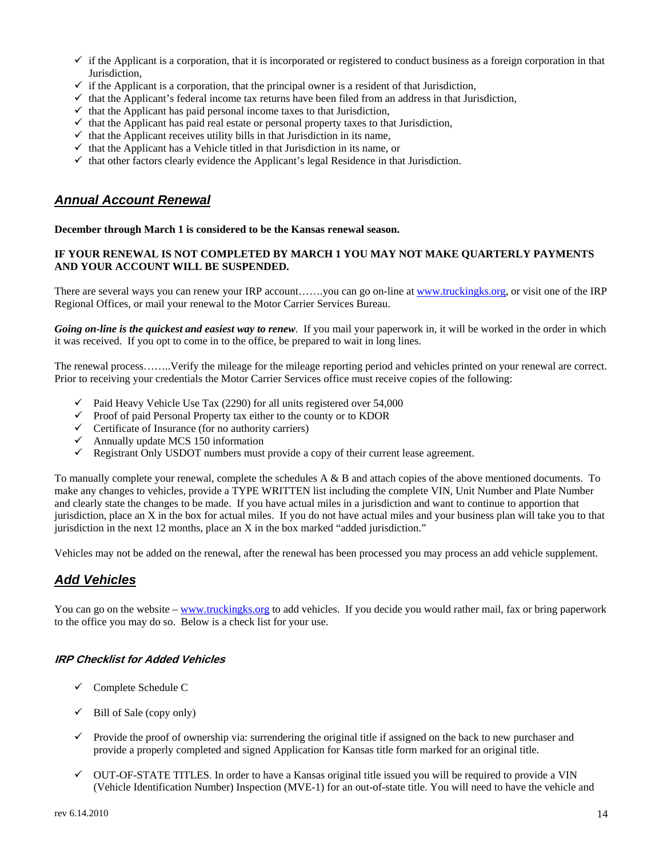- $\checkmark$  if the Applicant is a corporation, that it is incorporated or registered to conduct business as a foreign corporation in that Jurisdiction,
- $\checkmark$  if the Applicant is a corporation, that the principal owner is a resident of that Jurisdiction,
- $\checkmark$  that the Applicant's federal income tax returns have been filed from an address in that Jurisdiction,
- $\checkmark$  that the Applicant has paid personal income taxes to that Jurisdiction,
- $\checkmark$  that the Applicant has paid real estate or personal property taxes to that Jurisdiction,
- $\checkmark$  that the Applicant receives utility bills in that Jurisdiction in its name,
- $\checkmark$  that the Applicant has a Vehicle titled in that Jurisdiction in its name, or
- $\checkmark$  that other factors clearly evidence the Applicant's legal Residence in that Jurisdiction.

# *Annual Account Renewal*

#### **December through March 1 is considered to be the Kansas renewal season.**

# **AND YOUR ACCOUNT WILL BE SUSPENDED. IF YOUR RENEWAL IS NOT COMPLETED BY MARCH 1 YOU MAY NOT MAKE QUARTERLY PAYMENTS**

There are several ways you can renew your IRP account…….you can go on-line at www.truckingks.org, or visit one of the IRP Regional Offices, or mail your renewal to the Motor Carrier Services Bureau.

 *Going on-line is the quickest and easiest way to renew*. If you mail your paperwork in, it will be worked in the order in which it was received. If you opt to come in to the office, be prepared to wait in long lines.

The renewal process……..Verify the mileage for the mileage reporting period and vehicles printed on your renewal are correct. Prior to receiving your credentials the Motor Carrier Services office must receive copies of the following:

- $\checkmark$  Paid Heavy Vehicle Use Tax (2290) for all units registered over 54,000
- $\checkmark$  Proof of paid Personal Property tax either to the county or to KDOR
- $\checkmark$  Certificate of Insurance (for no authority carriers)
- Annually update MCS 150 information<br>  $\checkmark$  Registrant Only USDOT numbers must
- Registrant Only USDOT numbers must provide a copy of their current lease agreement.

To manually complete your renewal, complete the schedules  $A \& B$  and attach copies of the above mentioned documents. To make any changes to vehicles, provide a TYPE WRITTEN list including the complete VIN, Unit Number and Plate Number and clearly state the changes to be made. If you have actual miles in a jurisdiction and want to continue to apportion that jurisdiction, place an X in the box for actual miles. If you do not have actual miles and your business plan will take you to that jurisdiction in the next 12 months, place an X in the box marked "added jurisdiction."

Vehicles may not be added on the renewal, after the renewal has been processed you may process an add vehicle supplement.

# *Add Vehicles*

You can go on the website – www.truckingks.org to add vehicles. If you decide you would rather mail, fax or bring paperwork to the office you may do so. Below is a check list for your use.

# **IRP Checklist for Added Vehicles**

- $\checkmark$  Complete Schedule C
- $\checkmark$  Bill of Sale (copy only)
- provide a properly completed and signed Application for Kansas title form marked for an original title.  $\checkmark$  Provide the proof of ownership via: surrendering the original title if assigned on the back to new purchaser and
- $\checkmark$  OUT-OF-STATE TITLES. In order to have a Kansas original title issued you will be required to provide a VIN (Vehicle Identification Number) Inspection (MVE-1) for an out-of-state title. You will need to have the vehicle and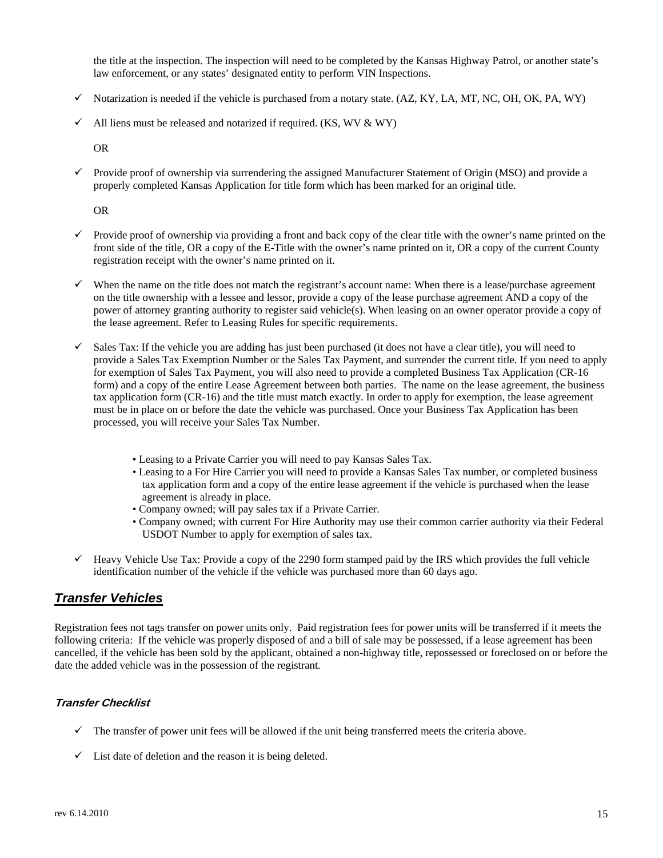the title at the inspection. The inspection will need to be completed by the Kansas Highway Patrol, or another state's law enforcement, or any states' designated entity to perform VIN Inspections.

- $\checkmark$  Notarization is needed if the vehicle is purchased from a notary state. (AZ, KY, LA, MT, NC, OH, OK, PA, WY)
- $\checkmark$  All liens must be released and notarized if required. (KS, WV & WY)

OR

Provide proof of ownership via surrendering the assigned Manufacturer Statement of Origin (MSO) and provide a properly completed Kansas Application for title form which has been marked for an original title.

OR

- front side of the title, OR a copy of the E-Title with the owner's name printed on it, OR a copy of the current County  $\checkmark$  Provide proof of ownership via providing a front and back copy of the clear title with the owner's name printed on the registration receipt with the owner's name printed on it.
- $\checkmark$  When the name on the title does not match the registrant's account name: When there is a lease/purchase agreement power of attorney granting authority to register said vehicle(s). When leasing on an owner operator provide a copy of on the title ownership with a lessee and lessor, provide a copy of the lease purchase agreement AND a copy of the the lease agreement. Refer to Leasing Rules for specific requirements.
- $\checkmark$  Sales Tax: If the vehicle you are adding has just been purchased (it does not have a clear title), you will need to for exemption of Sales Tax Payment, you will also need to provide a completed Business Tax Application (CR-16 provide a Sales Tax Exemption Number or the Sales Tax Payment, and surrender the current title. If you need to apply form) and a copy of the entire Lease Agreement between both parties. The name on the lease agreement, the business tax application form (CR-16) and the title must match exactly. In order to apply for exemption, the lease agreement must be in place on or before the date the vehicle was purchased. Once your Business Tax Application has been processed, you will receive your Sales Tax Number.
	- Leasing to a Private Carrier you will need to pay Kansas Sales Tax.
	- agreement is already in place. • Leasing to a For Hire Carrier you will need to provide a Kansas Sales Tax number, or completed business tax application form and a copy of the entire lease agreement if the vehicle is purchased when the lease
	- Company owned; will pay sales tax if a Private Carrier.
	- Company owned; with current For Hire Authority may use their common carrier authority via their Federal USDOT Number to apply for exemption of sales tax.
- $\checkmark$  Heavy Vehicle Use Tax: Provide a copy of the 2290 form stamped paid by the IRS which provides the full vehicle identification number of the vehicle if the vehicle was purchased more than 60 days ago.

# *Transfer Vehicles*

 Registration fees not tags transfer on power units only. Paid registration fees for power units will be transferred if it meets the following criteria: If the vehicle was properly disposed of and a bill of sale may be possessed, if a lease agreement has been cancelled, if the vehicle has been sold by the applicant, obtained a non-highway title, repossessed or foreclosed on or before the date the added vehicle was in the possession of the registrant.

# **Transfer Checklist**

- $\checkmark$  The transfer of power unit fees will be allowed if the unit being transferred meets the criteria above.
- $\checkmark$  List date of deletion and the reason it is being deleted.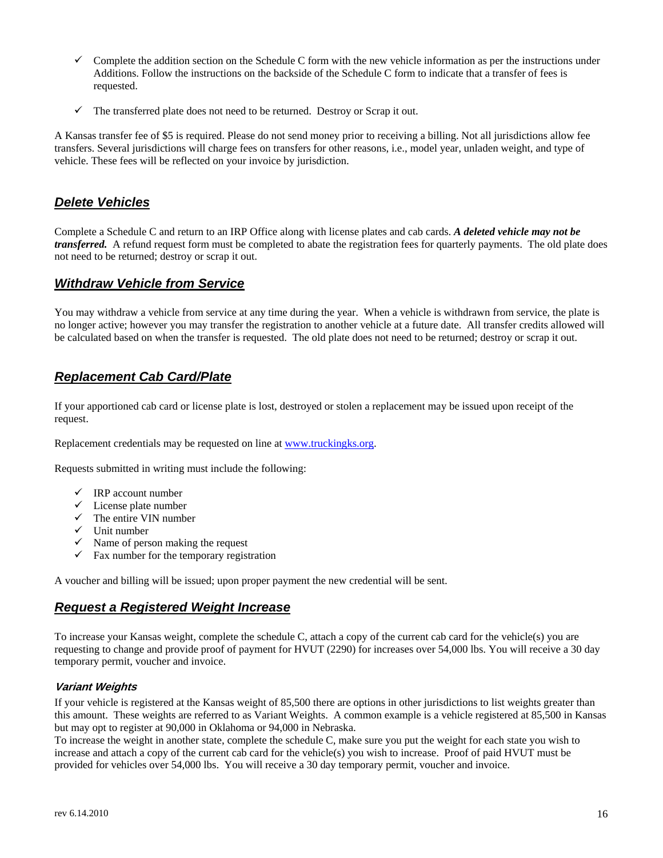- $\checkmark$  Complete the addition section on the Schedule C form with the new vehicle information as per the instructions under Additions. Follow the instructions on the backside of the Schedule C form to indicate that a transfer of fees is requested.
- $\checkmark$  The transferred plate does not need to be returned. Destroy or Scrap it out.

 vehicle. These fees will be reflected on your invoice by jurisdiction. A Kansas transfer fee of \$5 is required. Please do not send money prior to receiving a billing. Not all jurisdictions allow fee transfers. Several jurisdictions will charge fees on transfers for other reasons, i.e., model year, unladen weight, and type of

# *Delete Vehicles*

Complete a Schedule C and return to an IRP Office along with license plates and cab cards. *A deleted vehicle may not be transferred.* A refund request form must be completed to abate the registration fees for quarterly payments. The old plate does not need to be returned; destroy or scrap it out.

# *Withdraw Vehicle from Service*

 be calculated based on when the transfer is requested. The old plate does not need to be returned; destroy or scrap it out. You may withdraw a vehicle from service at any time during the year. When a vehicle is withdrawn from service, the plate is no longer active; however you may transfer the registration to another vehicle at a future date. All transfer credits allowed will

# *Replacement Cab Card/Plate*

If your apportioned cab card or license plate is lost, destroyed or stolen a replacement may be issued upon receipt of the request.

Replacement credentials may be requested on line at www.truckingks.org.

Requests submitted in writing must include the following:

- $\checkmark$  IRP account number
- $\checkmark$  License plate number
- $\checkmark$  The entire VIN number
- $\checkmark$  Unit number
- $\checkmark$  Name of person making the request
- $\checkmark$  Fax number for the temporary registration

A voucher and billing will be issued; upon proper payment the new credential will be sent.

# *Request a Registered Weight Increase*

To increase your Kansas weight, complete the schedule C, attach a copy of the current cab card for the vehicle(s) you are requesting to change and provide proof of payment for HVUT (2290) for increases over 54,000 lbs. You will receive a 30 day temporary permit, voucher and invoice.

# **Variant Weights**

 If your vehicle is registered at the Kansas weight of 85,500 there are options in other jurisdictions to list weights greater than but may opt to register at 90,000 in Oklahoma or 94,000 in Nebraska. this amount. These weights are referred to as Variant Weights. A common example is a vehicle registered at 85,500 in Kansas

To increase the weight in another state, complete the schedule C, make sure you put the weight for each state you wish to increase and attach a copy of the current cab card for the vehicle(s) you wish to increase. Proof of paid HVUT must be provided for vehicles over 54,000 lbs. You will receive a 30 day temporary permit, voucher and invoice.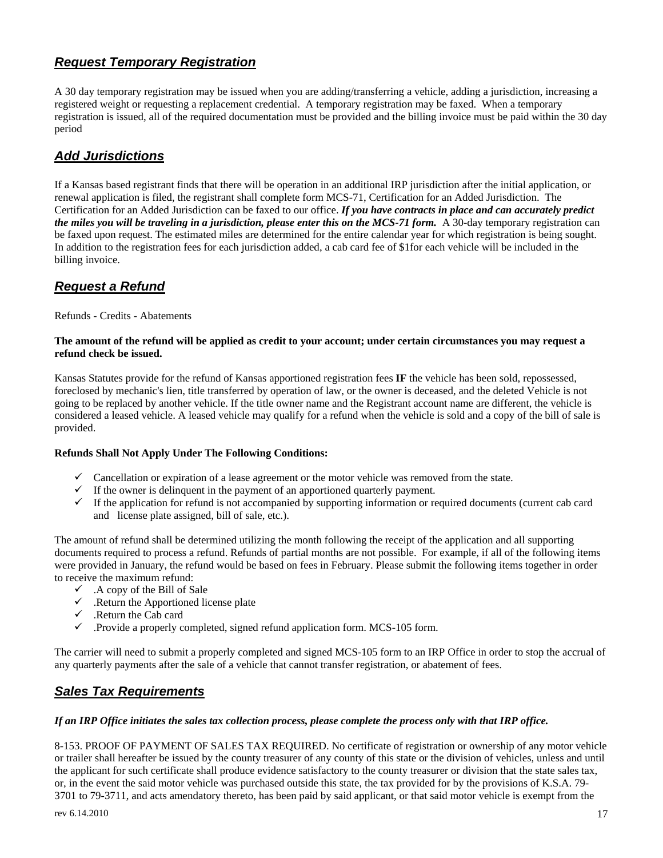# <span id="page-16-0"></span>*Request Temporary Registration*

 registration is issued, all of the required documentation must be provided and the billing invoice must be paid within the 30 day A 30 day temporary registration may be issued when you are adding/transferring a vehicle, adding a jurisdiction, increasing a registered weight or requesting a replacement credential. A temporary registration may be faxed. When a temporary period

# *Add Jurisdictions*

 be faxed upon request. The estimated miles are determined for the entire calendar year for which registration is being sought. If a Kansas based registrant finds that there will be operation in an additional IRP jurisdiction after the initial application, or renewal application is filed, the registrant shall complete form MCS-71, Certification for an Added Jurisdiction. The Certification for an Added Jurisdiction can be faxed to our office. *If you have contracts in place and can accurately predict the miles you will be traveling in a jurisdiction, please enter this on the MCS-71 form.* A 30-day temporary registration can In addition to the registration fees for each jurisdiction added, a cab card fee of \$1for each vehicle will be included in the billing invoice.

# *Request a Refund*

Refunds - Credits - Abatements

#### **The amount of the refund will be applied as credit to your account; under certain circumstances you may request a refund check be issued.**

 foreclosed by mechanic's lien, title transferred by operation of law, or the owner is deceased, and the deleted Vehicle is not Kansas Statutes provide for the refund of Kansas apportioned registration fees **IF** the vehicle has been sold, repossessed, going to be replaced by another vehicle. If the title owner name and the Registrant account name are different, the vehicle is considered a leased vehicle. A leased vehicle may qualify for a refund when the vehicle is sold and a copy of the bill of sale is provided.

# **Refunds Shall Not Apply Under The Following Conditions:**

- $\checkmark$  Cancellation or expiration of a lease agreement or the motor vehicle was removed from the state.
- $\checkmark$  If the owner is delinguent in the payment of an apportioned quarterly payment.
- $\checkmark$  If the application for refund is not accompanied by supporting information or required documents (current cab card and license plate assigned, bill of sale, etc.).

 The amount of refund shall be determined utilizing the month following the receipt of the application and all supporting documents required to process a refund. Refunds of partial months are not possible. For example, if all of the following items were provided in January, the refund would be based on fees in February. Please submit the following items together in order to receive the maximum refund:

- $\checkmark$  . A copy of the Bill of Sale
- $\checkmark$  . Return the Apportioned license plate
- $\checkmark$  . Return the Cab card
- $\checkmark$  . Provide a properly completed, signed refund application form. MCS-105 form.

 The carrier will need to submit a properly completed and signed MCS-105 form to an IRP Office in order to stop the accrual of any quarterly payments after the sale of a vehicle that cannot transfer registration, or abatement of fees.

# *Sales Tax Requirements*

# *If an IRP Office initiates the sales tax collection process, please complete the process only with that IRP office.*

 3701 to 79-3711, and acts amendatory thereto, has been paid by said applicant, or that said motor vehicle is exempt from the 8-153. PROOF OF PAYMENT OF SALES TAX REQUIRED. No certificate of registration or ownership of any motor vehicle or trailer shall hereafter be issued by the county treasurer of any county of this state or the division of vehicles, unless and until the applicant for such certificate shall produce evidence satisfactory to the county treasurer or division that the state sales tax, or, in the event the said motor vehicle was purchased outside this state, the tax provided for by the provisions of K.S.A. 79-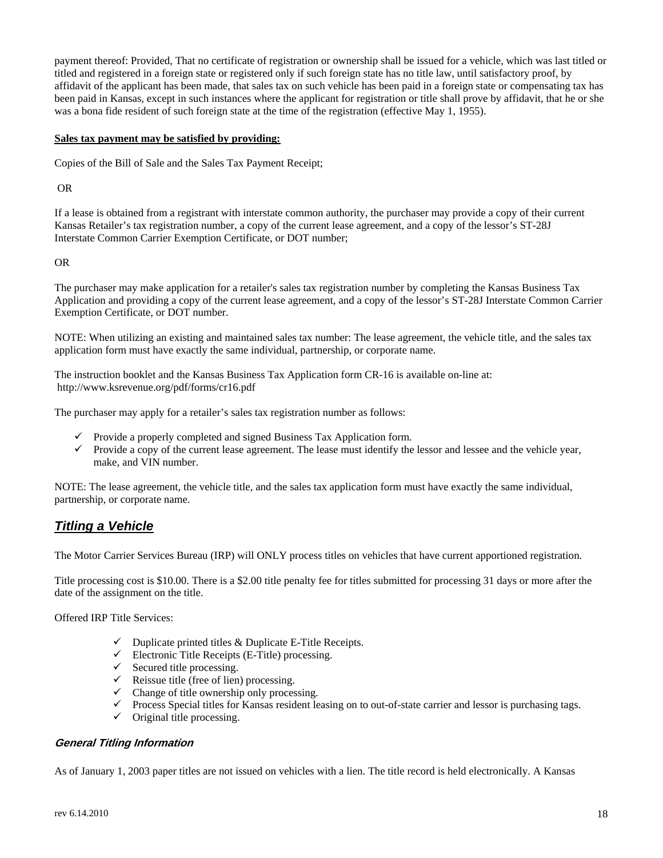affidavit of the applicant has been made, that sales tax on such vehicle has been paid in a foreign state or compensating tax has payment thereof: Provided, That no certificate of registration or ownership shall be issued for a vehicle, which was last titled or titled and registered in a foreign state or registered only if such foreign state has no title law, until satisfactory proof, by been paid in Kansas, except in such instances where the applicant for registration or title shall prove by affidavit, that he or she was a bona fide resident of such foreign state at the time of the registration (effective May 1, 1955).

#### **Sales tax payment may be satisfied by providing:**

Copies of the Bill of Sale and the Sales Tax Payment Receipt;

OR

If a lease is obtained from a registrant with interstate common authority, the purchaser may provide a copy of their current<br>Kansas Retailer's tax registration number, a copy of the current lease agreement, and a copy of t Interstate Common Carrier Exemption Certificate, or DOT number; OR

The purchaser may make application for a retailer's sales tax registration number by completing the Kansas Business Tax Application and providing a copy of the current lease agreement, and a copy of the lessor's ST-28J Interstate Common Carrier Exemption Certificate, or DOT number.

NOTE: When utilizing an existing and maintained sales tax number: The lease agreement, the vehicle title, and the sales tax application form must have exactly the same individual, partnership, or corporate name.

The instruction booklet and the Kansas Business Tax Application form CR-16 is available on-line at: http://www.ksrevenue.org/pdf/forms/cr16.pdf

The purchaser may apply for a retailer's sales tax registration number as follows:

- $\checkmark$  Provide a properly completed and signed Business Tax Application form.
- $\checkmark$  Provide a copy of the current lease agreement. The lease must identify the lessor and lessee and the vehicle year, make, and VIN number.

 NOTE: The lease agreement, the vehicle title, and the sales tax application form must have exactly the same individual, partnership, or corporate name.

# *Titling a Vehicle*

The Motor Carrier Services Bureau (IRP) will ONLY process titles on vehicles that have current apportioned registration.

Title processing cost is \$10.00. There is a \$2.00 title penalty fee for titles submitted for processing 31 days or more after the date of the assignment on the title.

Offered IRP Title Services:

- $\checkmark$  Duplicate printed titles & Duplicate E-Title Receipts.
- $\checkmark$  Electronic Title Receipts (E-Title) processing.
- $\checkmark$  Secured title processing.
- $\checkmark$  Reissue title (free of lien) processing.
- $\checkmark$  Change of title ownership only processing.
- $\checkmark$  Process Special titles for Kansas resident leasing on to out-of-state carrier and lessor is purchasing tags.
- $\checkmark$  Original title processing.

# **General Titling Information**

As of January 1, 2003 paper titles are not issued on vehicles with a lien. The title record is held electronically. A Kansas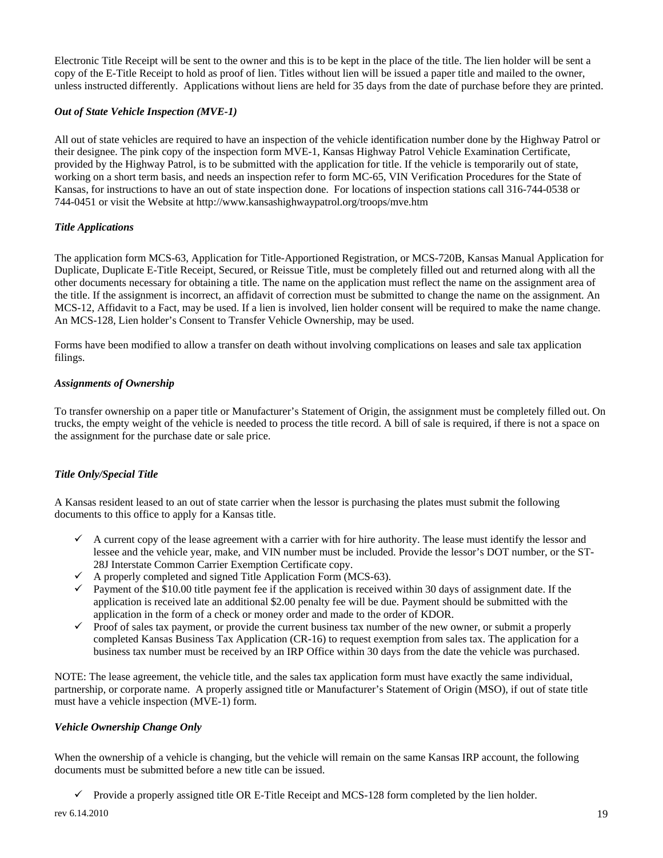unless instructed differently. Applications without liens are held for 35 days from the date of purchase before they are printed. Electronic Title Receipt will be sent to the owner and this is to be kept in the place of the title. The lien holder will be sent a copy of the E-Title Receipt to hold as proof of lien. Titles without lien will be issued a paper title and mailed to the owner,

#### *Out of State Vehicle Inspection (MVE-1)*

 All out of state vehicles are required to have an inspection of the vehicle identification number done by the Highway Patrol or provided by the Highway Patrol, is to be submitted with the application for title. If the vehicle is temporarily out of state, Kansas, for instructions to have an out of state inspection done. For locations of inspection stations call 316-744-0538 or 744-0451 or visit the Website at http://www.kansashighwaypatrol.org/troops/mve.htm their designee. The pink copy of the inspection form MVE-1, Kansas Highway Patrol Vehicle Examination Certificate, working on a short term basis, and needs an inspection refer to form MC-65, VIN Verification Procedures for the State of

#### *Title Applications*

 MCS-12, Affidavit to a Fact, may be used. If a lien is involved, lien holder consent will be required to make the name change. The application form MCS-63, Application for Title-Apportioned Registration, or MCS-720B, Kansas Manual Application for Duplicate, Duplicate E-Title Receipt, Secured, or Reissue Title, must be completely filled out and returned along with all the other documents necessary for obtaining a title. The name on the application must reflect the name on the assignment area of the title. If the assignment is incorrect, an affidavit of correction must be submitted to change the name on the assignment. An An MCS-128, Lien holder's Consent to Transfer Vehicle Ownership, may be used.

Forms have been modified to allow a transfer on death without involving complications on leases and sale tax application filings.

#### *Assignments of Ownership*

 To transfer ownership on a paper title or Manufacturer's Statement of Origin, the assignment must be completely filled out. On the assignment for the purchase date or sale price. trucks, the empty weight of the vehicle is needed to process the title record. A bill of sale is required, if there is not a space on

# *Title Only/Special Title*

 A Kansas resident leased to an out of state carrier when the lessor is purchasing the plates must submit the following documents to this office to apply for a Kansas title.

- $\checkmark$  A current copy of the lease agreement with a carrier with for hire authority. The lease must identify the lessor and lessee and the vehicle year, make, and VIN number must be included. Provide the lessor's DOT number, or the ST-28J Interstate Common Carrier Exemption Certificate copy.
- $\checkmark$  A properly completed and signed Title Application Form (MCS-63).
- application in the form of a check or money order and made to the order of KDOR. Payment of the \$10.00 title payment fee if the application is received within 30 days of assignment date. If the application is received late an additional \$2.00 penalty fee will be due. Payment should be submitted with the
- Proof of sales tax payment, or provide the current business tax number of the new owner, or submit a properly completed Kansas Business Tax Application (CR-16) to request exemption from sales tax. The application for a business tax number must be received by an IRP Office within 30 days from the date the vehicle was purchased.

 NOTE: The lease agreement, the vehicle title, and the sales tax application form must have exactly the same individual, partnership, or corporate name. A properly assigned title or Manufacturer's Statement of Origin (MSO), if out of state title must have a vehicle inspection (MVE-1) form.

# *Vehicle Ownership Change Only*

When the ownership of a vehicle is changing, but the vehicle will remain on the same Kansas IRP account, the following documents must be submitted before a new title can be issued.

 $\checkmark$  Provide a properly assigned title OR E-Title Receipt and MCS-128 form completed by the lien holder.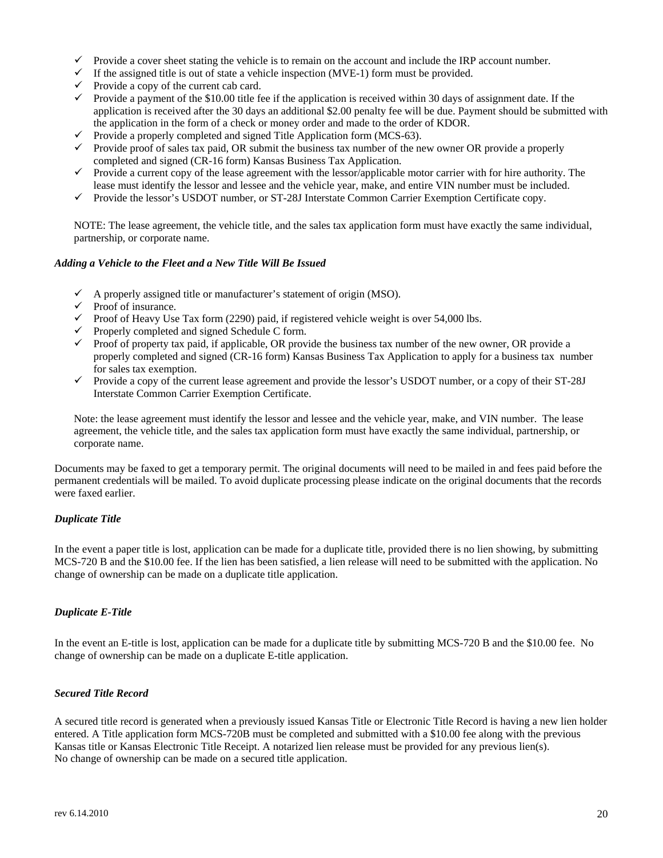- $\checkmark$  Provide a cover sheet stating the vehicle is to remain on the account and include the IRP account number.
- $\checkmark$  If the assigned title is out of state a vehicle inspection (MVE-1) form must be provided.
- $\checkmark$  Provide a copy of the current cab card.
- the application in the form of a check or money order and made to the order of KDOR. Provide a payment of the \$10.00 title fee if the application is received within 30 days of assignment date. If the application is received after the 30 days an additional \$2.00 penalty fee will be due. Payment should be submitted with
- $\checkmark$  Provide a properly completed and signed Title Application form (MCS-63).
- $\checkmark$  Provide proof of sales tax paid, OR submit the business tax number of the new owner OR provide a properly completed and signed (CR-16 form) Kansas Business Tax Application.
- $\checkmark$  Provide a current copy of the lease agreement with the lessor/applicable motor carrier with for hire authority. The lease must identify the lessor and lessee and the vehicle year, make, and entire VIN number must be included.
- $\checkmark$  Provide the lessor's USDOT number, or ST-28J Interstate Common Carrier Exemption Certificate copy.

 NOTE: The lease agreement, the vehicle title, and the sales tax application form must have exactly the same individual, partnership, or corporate name.

#### *Adding a Vehicle to the Fleet and a New Title Will Be Issued*

- $\checkmark$  A properly assigned title or manufacturer's statement of origin (MSO).
- $\checkmark$  Proof of insurance.
- $\checkmark$  Proof of Heavy Use Tax form (2290) paid, if registered vehicle weight is over 54,000 lbs.
- $\checkmark$  Properly completed and signed Schedule C form.
- $\checkmark$  Proof of property tax paid, if applicable, OR provide the business tax number of the new owner, OR provide a properly completed and signed (CR-16 form) Kansas Business Tax Application to apply for a business tax number for sales tax exemption.
- $\checkmark$  Provide a copy of the current lease agreement and provide the lessor's USDOT number, or a copy of their ST-28J Interstate Common Carrier Exemption Certificate.

 agreement, the vehicle title, and the sales tax application form must have exactly the same individual, partnership, or Note: the lease agreement must identify the lessor and lessee and the vehicle year, make, and VIN number. The lease corporate name.

 Documents may be faxed to get a temporary permit. The original documents will need to be mailed in and fees paid before the permanent credentials will be mailed. To avoid duplicate processing please indicate on the original documents that the records were faxed earlier.

# *Duplicate Title*

 change of ownership can be made on a duplicate title application. In the event a paper title is lost, application can be made for a duplicate title, provided there is no lien showing, by submitting MCS-720 B and the \$10.00 fee. If the lien has been satisfied, a lien release will need to be submitted with the application. No

# *Duplicate E-Title*

 change of ownership can be made on a duplicate E-title application. In the event an E-title is lost, application can be made for a duplicate title by submitting MCS-720 B and the \$10.00 fee. No

# *Secured Title Record*

 No change of ownership can be made on a secured title application. A secured title record is generated when a previously issued Kansas Title or Electronic Title Record is having a new lien holder entered. A Title application form MCS-720B must be completed and submitted with a \$10.00 fee along with the previous Kansas title or Kansas Electronic Title Receipt. A notarized lien release must be provided for any previous lien(s).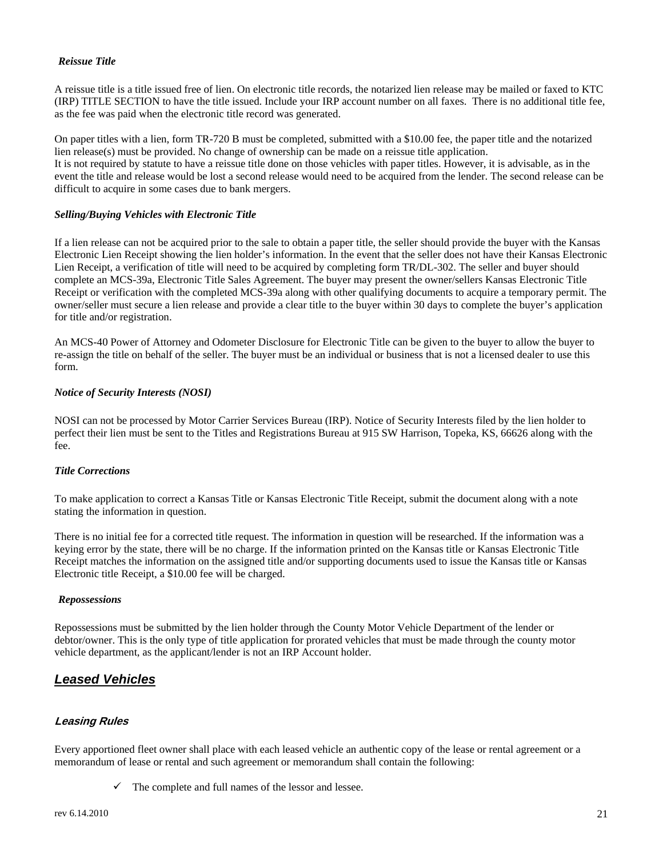# *Reissue Title*

 A reissue title is a title issued free of lien. On electronic title records, the notarized lien release may be mailed or faxed to KTC as the fee was paid when the electronic title record was generated. (IRP) TITLE SECTION to have the title issued. Include your IRP account number on all faxes. There is no additional title fee,

 lien release(s) must be provided. No change of ownership can be made on a reissue title application. On paper titles with a lien, form  $TR-720$  B must be completed, submitted with a \$10.00 fee, the paper title and the notarized It is not required by statute to have a reissue title done on those vehicles with paper titles. However, it is advisable, as in the event the title and release would be lost a second release would need to be acquired from the lender. The second release can be difficult to acquire in some cases due to bank mergers.

#### *Selling/Buying Vehicles with Electronic Title*

 If a lien release can not be acquired prior to the sale to obtain a paper title, the seller should provide the buyer with the Kansas owner/seller must secure a lien release and provide a clear title to the buyer within 30 days to complete the buyer's application for title and/or registration. Electronic Lien Receipt showing the lien holder's information. In the event that the seller does not have their Kansas Electronic Lien Receipt, a verification of title will need to be acquired by completing form TR/DL-302. The seller and buyer should complete an MCS-39a, Electronic Title Sales Agreement. The buyer may present the owner/sellers Kansas Electronic Title Receipt or verification with the completed MCS-39a along with other qualifying documents to acquire a temporary permit. The

An MCS-40 Power of Attorney and Odometer Disclosure for Electronic Title can be given to the buyer to allow the buyer to re-assign the title on behalf of the seller. The buyer must be an individual or business that is not a licensed dealer to use this form.

#### *Notice of Security Interests (NOSI)*

 NOSI can not be processed by Motor Carrier Services Bureau (IRP). Notice of Security Interests filed by the lien holder to perfect their lien must be sent to the Titles and Registrations Bureau at 915 SW Harrison, Topeka, KS, 66626 along with the fee.

# *Title Corrections*

stating the information in question. To make application to correct a Kansas Title or Kansas Electronic Title Receipt, submit the document along with a note

stating the information in question.<br>There is no initial fee for a corrected title request. The information in question will be researched. If the information was a keying error by the state, there will be no charge. If the information printed on the Kansas title or Kansas Electronic Title Receipt matches the information on the assigned title and/or supporting documents used to issue the Kansas title or Kansas Electronic title Receipt, a \$10.00 fee will be charged.

#### *Repossessions*

Repossessions must be submitted by the lien holder through the County Motor Vehicle Department of the lender or debtor/owner. This is the only type of title application for prorated vehicles that must be made through the county motor vehicle department, as the applicant/lender is not an IRP Account holder.

# *Leased Vehicles*

# **Leasing Rules**

Every apportioned fleet owner shall place with each leased vehicle an authentic copy of the lease or rental agreement or a memorandum of lease or rental and such agreement or memorandum shall contain the following:

 $\checkmark$  The complete and full names of the lessor and lessee.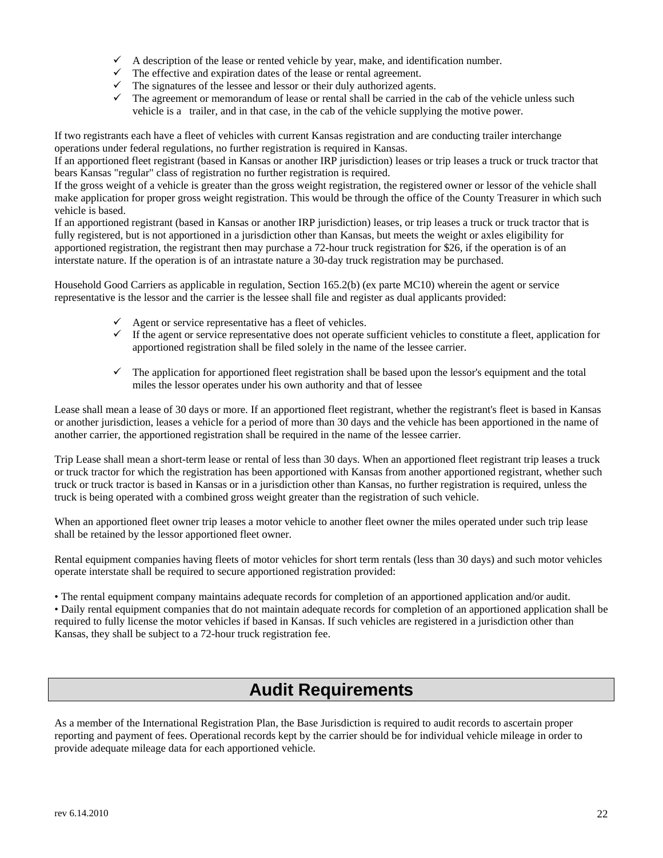- $\checkmark$  A description of the lease or rented vehicle by year, make, and identification number.
- $\checkmark$  The effective and expiration dates of the lease or rental agreement.
- $\checkmark$  The signatures of the lessee and lessor or their duly authorized agents.
- $\checkmark$  The agreement or memorandum of lease or rental shall be carried in the cab of the vehicle unless such vehicle is a trailer, and in that case, in the cab of the vehicle supplying the motive power.

operations under federal regulations, no further registration is required in Kansas. If two registrants each have a fleet of vehicles with current Kansas registration and are conducting trailer interchange

bears Kansas "regular" class of registration no further registration is required. If an apportioned fleet registrant (based in Kansas or another IRP jurisdiction) leases or trip leases a truck or truck tractor that

 make application for proper gross weight registration. This would be through the office of the County Treasurer in which such If the gross weight of a vehicle is greater than the gross weight registration, the registered owner or lessor of the vehicle shall vehicle is based.

 apportioned registration, the registrant then may purchase a 72-hour truck registration for \$26, if the operation is of an interstate nature. If the operation is of an intrastate nature a 30-day truck registration may be purchased. If an apportioned registrant (based in Kansas or another IRP jurisdiction) leases, or trip leases a truck or truck tractor that is fully registered, but is not apportioned in a jurisdiction other than Kansas, but meets the weight or axles eligibility for

 interstate nature. If the operation is of an intrastate nature a 30-day truck registration may be purchased. Household Good Carriers as applicable in regulation, Section 165.2(b) (ex parte MC10) wherein the agent or service representative is the lessor and the carrier is the lessee shall file and register as dual applicants provided:

- $\checkmark$  Agent or service representative has a fleet of vehicles.
- $\checkmark$  If the agent or service representative does not operate sufficient vehicles to constitute a fleet, application for apportioned registration shall be filed solely in the name of the lessee carrier.
- $\checkmark$  The application for apportioned fleet registration shall be based upon the lessor's equipment and the total miles the lessor operates under his own authority and that of lessee

Lease shall mean a lease of 30 days or more. If an apportioned fleet registrant, whether the registrant's fleet is based in Kansas or another jurisdiction, leases a vehicle for a period of more than 30 days and the vehicle has been apportioned in the name of another carrier, the apportioned registration shall be required in the name of the lessee carrier.

 truck or truck tractor is based in Kansas or in a jurisdiction other than Kansas, no further registration is required, unless the Trip Lease shall mean a short-term lease or rental of less than 30 days. When an apportioned fleet registrant trip leases a truck or truck tractor for which the registration has been apportioned with Kansas from another apportioned registrant, whether such truck is being operated with a combined gross weight greater than the registration of such vehicle.

When an apportioned fleet owner trip leases a motor vehicle to another fleet owner the miles operated under such trip lease shall be retained by the lessor apportioned fleet owner.

operate interstate shall be required to secure apportioned registration provided: Rental equipment companies having fleets of motor vehicles for short term rentals (less than 30 days) and such motor vehicles

operate interstate shall be required to secure apportioned registration provided:<br>• The rental equipment company maintains adequate records for completion of an apportioned application and/or audit.<br>• Daily rental equipmen required to fully license the motor vehicles if based in Kansas. If such vehicles are registered in a jurisdiction other than Kansas, they shall be subject to a 72-hour truck registration fee.

# **Audit Requirements**

 reporting and payment of fees. Operational records kept by the carrier should be for individual vehicle mileage in order to As a member of the International Registration Plan, the Base Jurisdiction is required to audit records to ascertain proper provide adequate mileage data for each apportioned vehicle.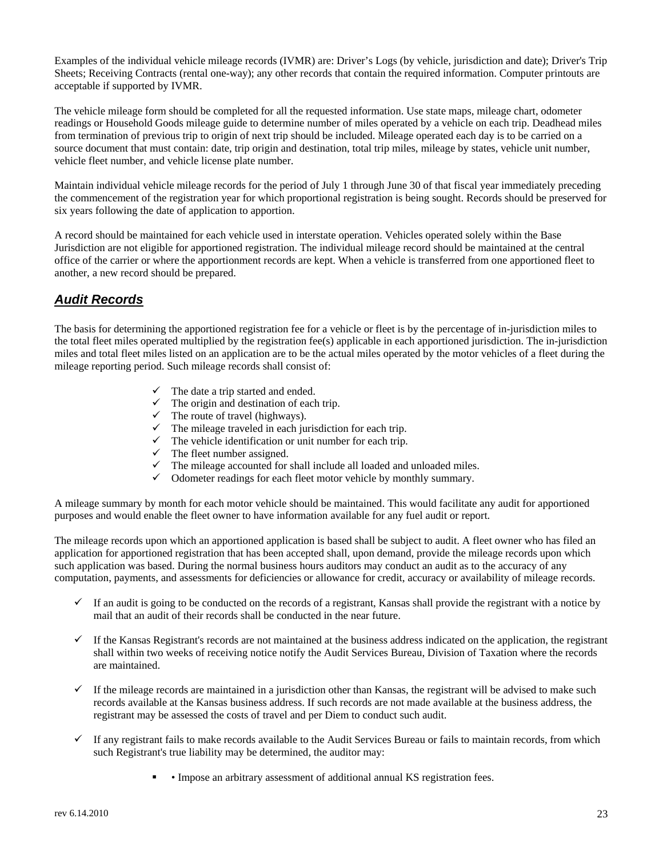Examples of the individual vehicle mileage records (IVMR) are: Driver's Logs (by vehicle, jurisdiction and date); Driver's Trip Sheets; Receiving Contracts (rental one-way); any other records that contain the required information. Computer printouts are acceptable if supported by IVMR.

The vehicle mileage form should be completed for all the requested information. Use state maps, mileage chart, odometer readings or Household Goods mileage guide to determine number of miles operated by a vehicle on each trip. Deadhead miles from termination of previous trip to origin of next trip should be included. Mileage operated each day is to be carried on a source document that must contain: date, trip origin and destination, total trip miles, mileage by states, vehicle unit number, vehicle fleet number, and vehicle license plate number.

 the commencement of the registration year for which proportional registration is being sought. Records should be preserved for six years following the date of application to apportion. Maintain individual vehicle mileage records for the period of July 1 through June 30 of that fiscal year immediately preceding

 another, a new record should be prepared. A record should be maintained for each vehicle used in interstate operation. Vehicles operated solely within the Base Jurisdiction are not eligible for apportioned registration. The individual mileage record should be maintained at the central office of the carrier or where the apportionment records are kept. When a vehicle is transferred from one apportioned fleet to

# *Audit Records*

 The basis for determining the apportioned registration fee for a vehicle or fleet is by the percentage of in-jurisdiction miles to the total fleet miles operated multiplied by the registration fee(s) applicable in each apportioned jurisdiction. The in-jurisdiction miles and total fleet miles listed on an application are to be the actual miles operated by the motor vehicles of a fleet during the mileage reporting period. Such mileage records shall consist of:

- $\checkmark$  The date a trip started and ended.
- $\checkmark$  The origin and destination of each trip.
- $\checkmark$  The route of travel (highways).
- $\checkmark$  The mileage traveled in each jurisdiction for each trip.
- $\checkmark$  The vehicle identification or unit number for each trip.
- $\checkmark$  The fleet number assigned.
- $\checkmark$  The mileage accounted for shall include all loaded and unloaded miles.
- $\checkmark$  Odometer readings for each fleet motor vehicle by monthly summary.

purposes and would enable the fleet owner to have information available for any fuel audit or report. A mileage summary by month for each motor vehicle should be maintained. This would facilitate any audit for apportioned

The mileage records upon which an apportioned application is based shall be subject to audit. A fleet owner who has filed an application for apportioned registration that has been accepted shall, upon demand, provide the mileage records upon which such application was based. During the normal business hours auditors may conduct an audit as to the accuracy of any computation, payments, and assessments for deficiencies or allowance for credit, accuracy or availability of mileage records.

- $\checkmark$  If an audit is going to be conducted on the records of a registrant, Kansas shall provide the registrant with a notice by mail that an audit of their records shall be conducted in the near future.
- $\checkmark$  If the Kansas Registrant's records are not maintained at the business address indicated on the application, the registrant shall within two weeks of receiving notice notify the Audit Services Bureau, Division of Taxation where the records are maintained.
- $\checkmark$  If the mileage records are maintained in a jurisdiction other than Kansas, the registrant will be advised to make such records available at the Kansas business address. If such records are not made available at the business address, the registrant may be assessed the costs of travel and per Diem to conduct such audit.
- $\checkmark$  If any registrant fails to make records available to the Audit Services Bureau or fails to maintain records, from which such Registrant's true liability may be determined, the auditor may:
	- Impose an arbitrary assessment of additional annual KS registration fees.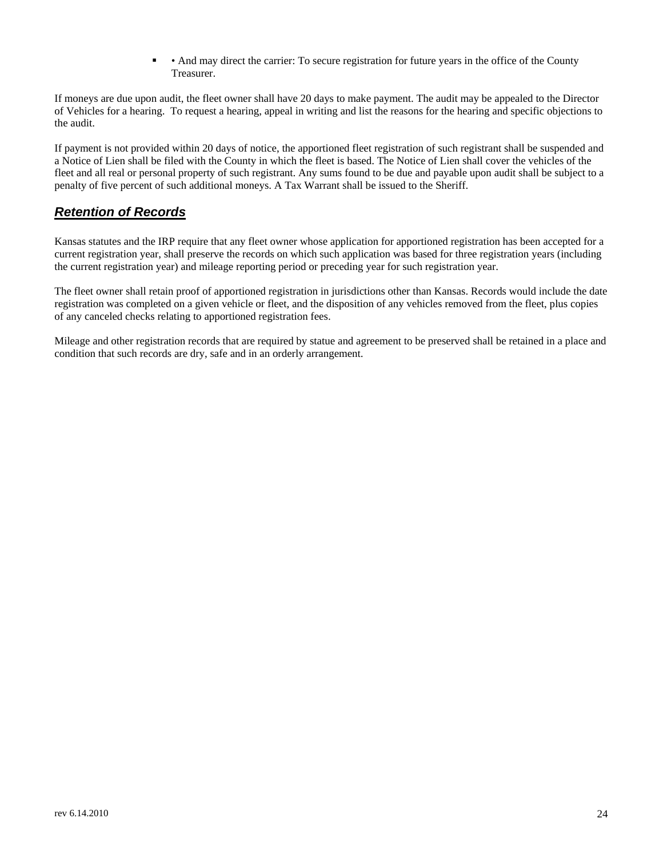• And may direct the carrier: To secure registration for future years in the office of the County Treasurer.

 If moneys are due upon audit, the fleet owner shall have 20 days to make payment. The audit may be appealed to the Director of Vehicles for a hearing. To request a hearing, appeal in writing and list the reasons for the hearing and specific objections to the audit.

 If payment is not provided within 20 days of notice, the apportioned fleet registration of such registrant shall be suspended and penalty of five percent of such additional moneys. A Tax Warrant shall be issued to the Sheriff. a Notice of Lien shall be filed with the County in which the fleet is based. The Notice of Lien shall cover the vehicles of the fleet and all real or personal property of such registrant. Any sums found to be due and payable upon audit shall be subject to a

# *Retention of Records*

Kansas statutes and the IRP require that any fleet owner whose application for apportioned registration has been accepted for a current registration year, shall preserve the records on which such application was based for three registration years (including the current registration year) and mileage reporting period or preceding year for such registration year.

The fleet owner shall retain proof of apportioned registration in jurisdictions other than Kansas. Records would include the date registration was completed on a given vehicle or fleet, and the disposition of any vehicles removed from the fleet, plus copies of any canceled checks relating to apportioned registration fees.

Mileage and other registration records that are required by statue and agreement to be preserved shall be retained in a place and condition that such records are dry, safe and in an orderly arrangement.